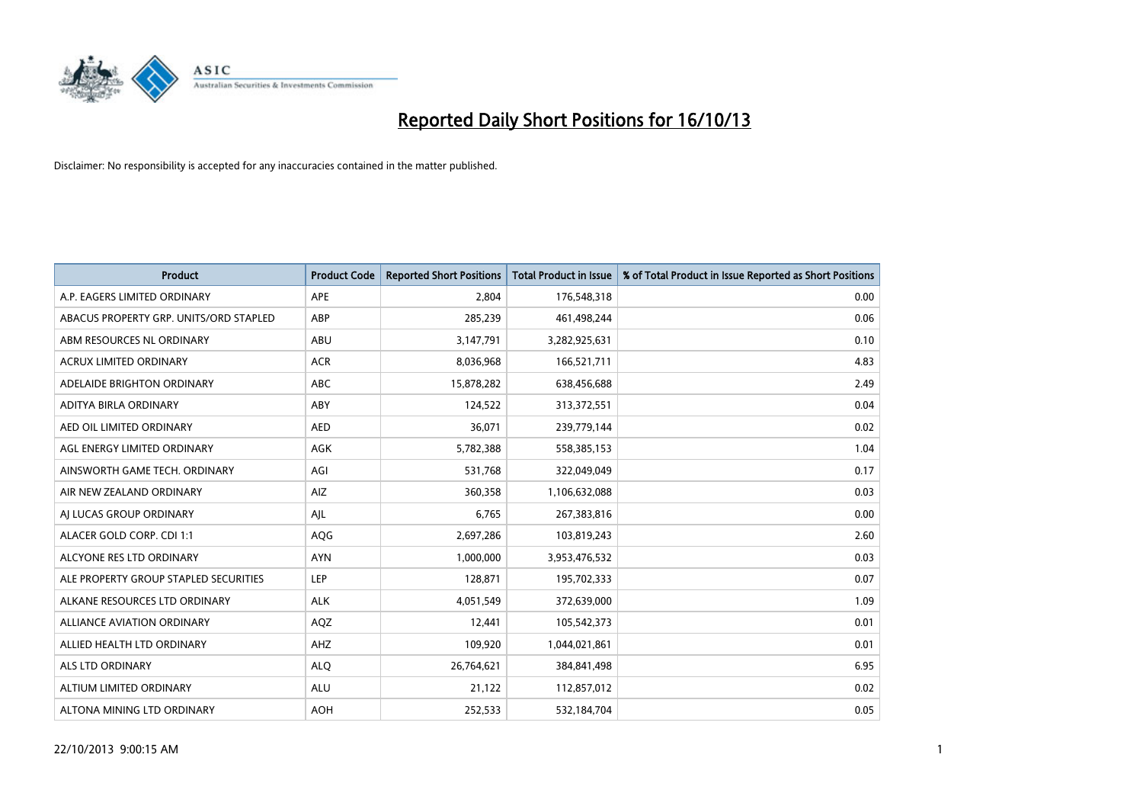

| <b>Product</b>                         | <b>Product Code</b> | <b>Reported Short Positions</b> | <b>Total Product in Issue</b> | % of Total Product in Issue Reported as Short Positions |
|----------------------------------------|---------------------|---------------------------------|-------------------------------|---------------------------------------------------------|
| A.P. EAGERS LIMITED ORDINARY           | APE                 | 2,804                           | 176,548,318                   | 0.00                                                    |
| ABACUS PROPERTY GRP. UNITS/ORD STAPLED | ABP                 | 285,239                         | 461,498,244                   | 0.06                                                    |
| ABM RESOURCES NL ORDINARY              | ABU                 | 3,147,791                       | 3,282,925,631                 | 0.10                                                    |
| <b>ACRUX LIMITED ORDINARY</b>          | <b>ACR</b>          | 8,036,968                       | 166,521,711                   | 4.83                                                    |
| ADELAIDE BRIGHTON ORDINARY             | ABC                 | 15,878,282                      | 638,456,688                   | 2.49                                                    |
| ADITYA BIRLA ORDINARY                  | ABY                 | 124,522                         | 313,372,551                   | 0.04                                                    |
| AED OIL LIMITED ORDINARY               | <b>AED</b>          | 36,071                          | 239,779,144                   | 0.02                                                    |
| AGL ENERGY LIMITED ORDINARY            | AGK                 | 5,782,388                       | 558,385,153                   | 1.04                                                    |
| AINSWORTH GAME TECH. ORDINARY          | AGI                 | 531,768                         | 322,049,049                   | 0.17                                                    |
| AIR NEW ZEALAND ORDINARY               | AIZ                 | 360,358                         | 1,106,632,088                 | 0.03                                                    |
| AI LUCAS GROUP ORDINARY                | AJL                 | 6,765                           | 267,383,816                   | 0.00                                                    |
| ALACER GOLD CORP. CDI 1:1              | AQG                 | 2,697,286                       | 103,819,243                   | 2.60                                                    |
| ALCYONE RES LTD ORDINARY               | <b>AYN</b>          | 1,000,000                       | 3,953,476,532                 | 0.03                                                    |
| ALE PROPERTY GROUP STAPLED SECURITIES  | LEP                 | 128,871                         | 195,702,333                   | 0.07                                                    |
| ALKANE RESOURCES LTD ORDINARY          | <b>ALK</b>          | 4,051,549                       | 372,639,000                   | 1.09                                                    |
| <b>ALLIANCE AVIATION ORDINARY</b>      | AQZ                 | 12,441                          | 105,542,373                   | 0.01                                                    |
| ALLIED HEALTH LTD ORDINARY             | AHZ                 | 109,920                         | 1,044,021,861                 | 0.01                                                    |
| ALS LTD ORDINARY                       | <b>ALQ</b>          | 26,764,621                      | 384,841,498                   | 6.95                                                    |
| ALTIUM LIMITED ORDINARY                | <b>ALU</b>          | 21,122                          | 112,857,012                   | 0.02                                                    |
| ALTONA MINING LTD ORDINARY             | <b>AOH</b>          | 252,533                         | 532,184,704                   | 0.05                                                    |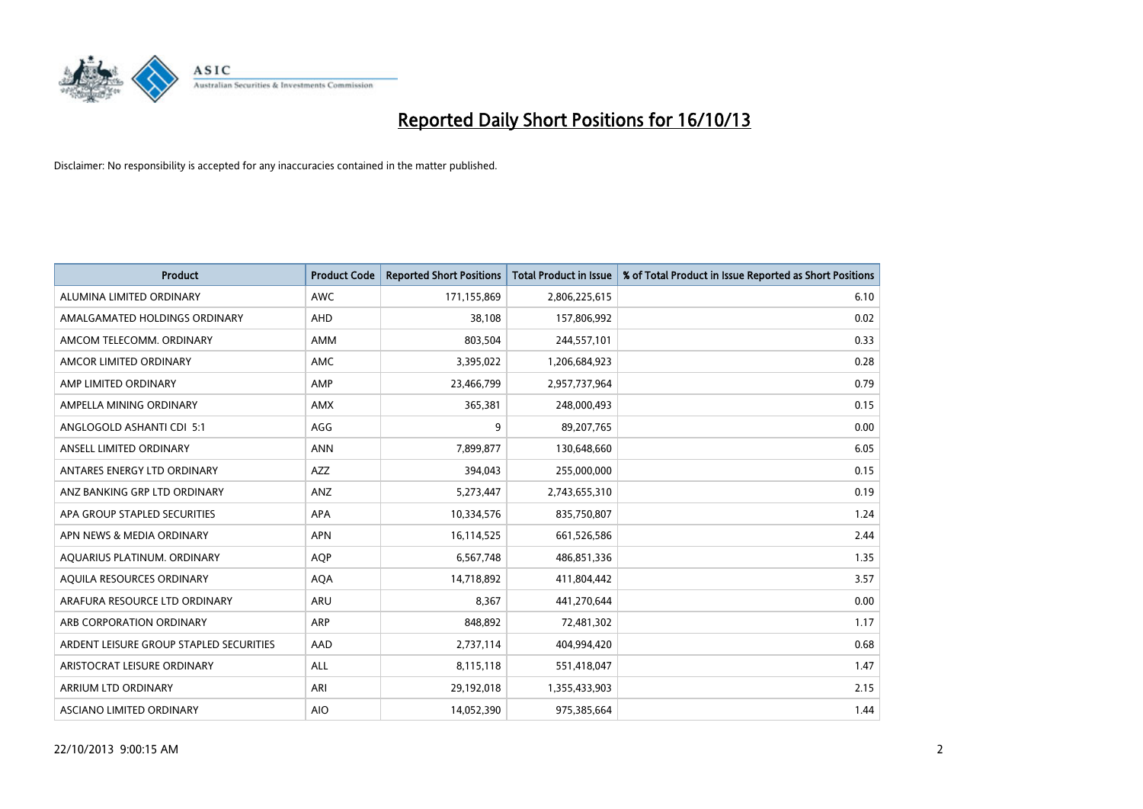

| <b>Product</b>                          | <b>Product Code</b> | <b>Reported Short Positions</b> | <b>Total Product in Issue</b> | % of Total Product in Issue Reported as Short Positions |
|-----------------------------------------|---------------------|---------------------------------|-------------------------------|---------------------------------------------------------|
| ALUMINA LIMITED ORDINARY                | <b>AWC</b>          | 171,155,869                     | 2,806,225,615                 | 6.10                                                    |
| AMALGAMATED HOLDINGS ORDINARY           | AHD                 | 38.108                          | 157,806,992                   | 0.02                                                    |
| AMCOM TELECOMM, ORDINARY                | AMM                 | 803,504                         | 244,557,101                   | 0.33                                                    |
| AMCOR LIMITED ORDINARY                  | AMC                 | 3,395,022                       | 1,206,684,923                 | 0.28                                                    |
| AMP LIMITED ORDINARY                    | AMP                 | 23,466,799                      | 2,957,737,964                 | 0.79                                                    |
| AMPELLA MINING ORDINARY                 | AMX                 | 365,381                         | 248,000,493                   | 0.15                                                    |
| ANGLOGOLD ASHANTI CDI 5:1               | AGG                 | 9                               | 89,207,765                    | 0.00                                                    |
| ANSELL LIMITED ORDINARY                 | <b>ANN</b>          | 7,899,877                       | 130,648,660                   | 6.05                                                    |
| ANTARES ENERGY LTD ORDINARY             | <b>AZZ</b>          | 394,043                         | 255,000,000                   | 0.15                                                    |
| ANZ BANKING GRP LTD ORDINARY            | ANZ                 | 5,273,447                       | 2,743,655,310                 | 0.19                                                    |
| APA GROUP STAPLED SECURITIES            | APA                 | 10,334,576                      | 835,750,807                   | 1.24                                                    |
| APN NEWS & MEDIA ORDINARY               | <b>APN</b>          | 16,114,525                      | 661,526,586                   | 2.44                                                    |
| AQUARIUS PLATINUM. ORDINARY             | <b>AOP</b>          | 6,567,748                       | 486,851,336                   | 1.35                                                    |
| AOUILA RESOURCES ORDINARY               | <b>AQA</b>          | 14,718,892                      | 411,804,442                   | 3.57                                                    |
| ARAFURA RESOURCE LTD ORDINARY           | ARU                 | 8,367                           | 441,270,644                   | 0.00                                                    |
| ARB CORPORATION ORDINARY                | <b>ARP</b>          | 848,892                         | 72,481,302                    | 1.17                                                    |
| ARDENT LEISURE GROUP STAPLED SECURITIES | AAD                 | 2,737,114                       | 404,994,420                   | 0.68                                                    |
| ARISTOCRAT LEISURE ORDINARY             | ALL                 | 8,115,118                       | 551,418,047                   | 1.47                                                    |
| ARRIUM LTD ORDINARY                     | ARI                 | 29,192,018                      | 1,355,433,903                 | 2.15                                                    |
| ASCIANO LIMITED ORDINARY                | <b>AIO</b>          | 14,052,390                      | 975,385,664                   | 1.44                                                    |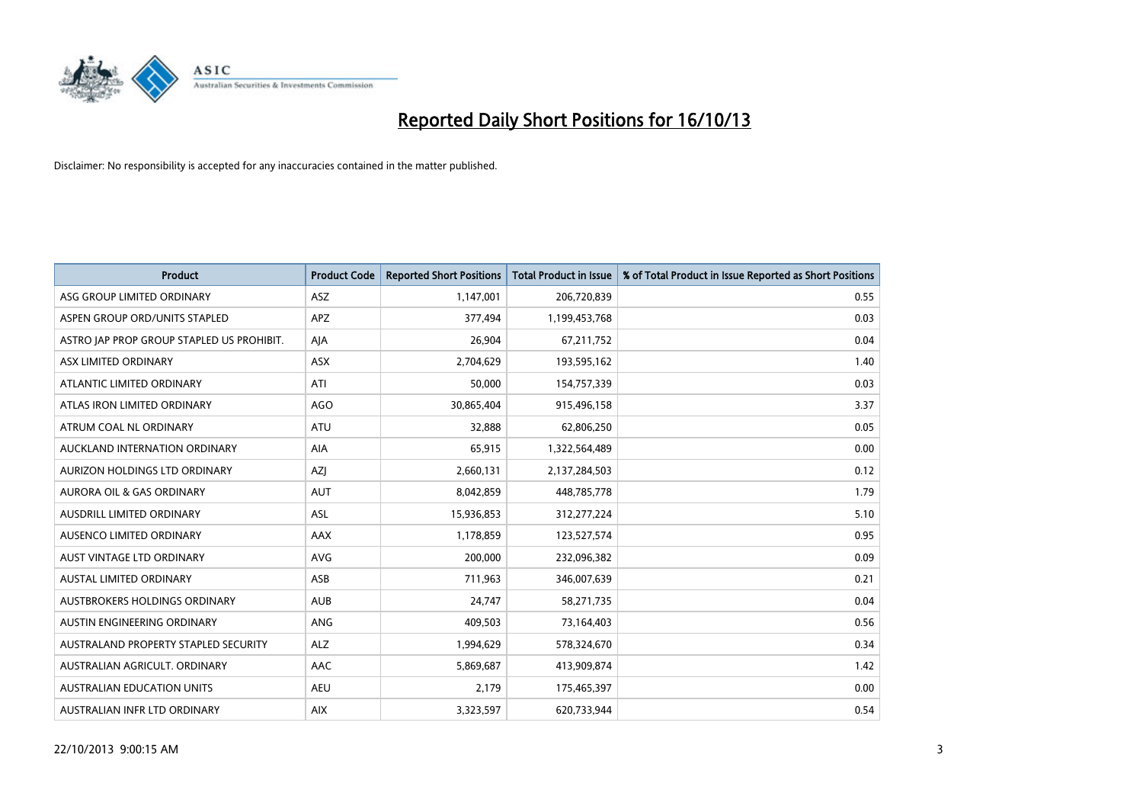

| <b>Product</b>                            | <b>Product Code</b> | <b>Reported Short Positions</b> | <b>Total Product in Issue</b> | % of Total Product in Issue Reported as Short Positions |
|-------------------------------------------|---------------------|---------------------------------|-------------------------------|---------------------------------------------------------|
| ASG GROUP LIMITED ORDINARY                | ASZ                 | 1,147,001                       | 206,720,839                   | 0.55                                                    |
| ASPEN GROUP ORD/UNITS STAPLED             | APZ                 | 377,494                         | 1,199,453,768                 | 0.03                                                    |
| ASTRO JAP PROP GROUP STAPLED US PROHIBIT. | AJA                 | 26,904                          | 67,211,752                    | 0.04                                                    |
| ASX LIMITED ORDINARY                      | ASX                 | 2,704,629                       | 193,595,162                   | 1.40                                                    |
| ATLANTIC LIMITED ORDINARY                 | ATI                 | 50,000                          | 154,757,339                   | 0.03                                                    |
| ATLAS IRON LIMITED ORDINARY               | <b>AGO</b>          | 30,865,404                      | 915,496,158                   | 3.37                                                    |
| ATRUM COAL NL ORDINARY                    | ATU                 | 32,888                          | 62,806,250                    | 0.05                                                    |
| AUCKLAND INTERNATION ORDINARY             | <b>AIA</b>          | 65,915                          | 1,322,564,489                 | 0.00                                                    |
| AURIZON HOLDINGS LTD ORDINARY             | <b>AZI</b>          | 2,660,131                       | 2,137,284,503                 | 0.12                                                    |
| <b>AURORA OIL &amp; GAS ORDINARY</b>      | <b>AUT</b>          | 8,042,859                       | 448,785,778                   | 1.79                                                    |
| AUSDRILL LIMITED ORDINARY                 | ASL                 | 15,936,853                      | 312,277,224                   | 5.10                                                    |
| AUSENCO LIMITED ORDINARY                  | AAX                 | 1,178,859                       | 123,527,574                   | 0.95                                                    |
| AUST VINTAGE LTD ORDINARY                 | <b>AVG</b>          | 200,000                         | 232,096,382                   | 0.09                                                    |
| <b>AUSTAL LIMITED ORDINARY</b>            | ASB                 | 711,963                         | 346,007,639                   | 0.21                                                    |
| AUSTBROKERS HOLDINGS ORDINARY             | <b>AUB</b>          | 24,747                          | 58,271,735                    | 0.04                                                    |
| AUSTIN ENGINEERING ORDINARY               | ANG                 | 409,503                         | 73,164,403                    | 0.56                                                    |
| AUSTRALAND PROPERTY STAPLED SECURITY      | <b>ALZ</b>          | 1,994,629                       | 578,324,670                   | 0.34                                                    |
| AUSTRALIAN AGRICULT, ORDINARY             | AAC                 | 5,869,687                       | 413,909,874                   | 1.42                                                    |
| <b>AUSTRALIAN EDUCATION UNITS</b>         | <b>AEU</b>          | 2,179                           | 175,465,397                   | 0.00                                                    |
| AUSTRALIAN INFR LTD ORDINARY              | <b>AIX</b>          | 3,323,597                       | 620,733,944                   | 0.54                                                    |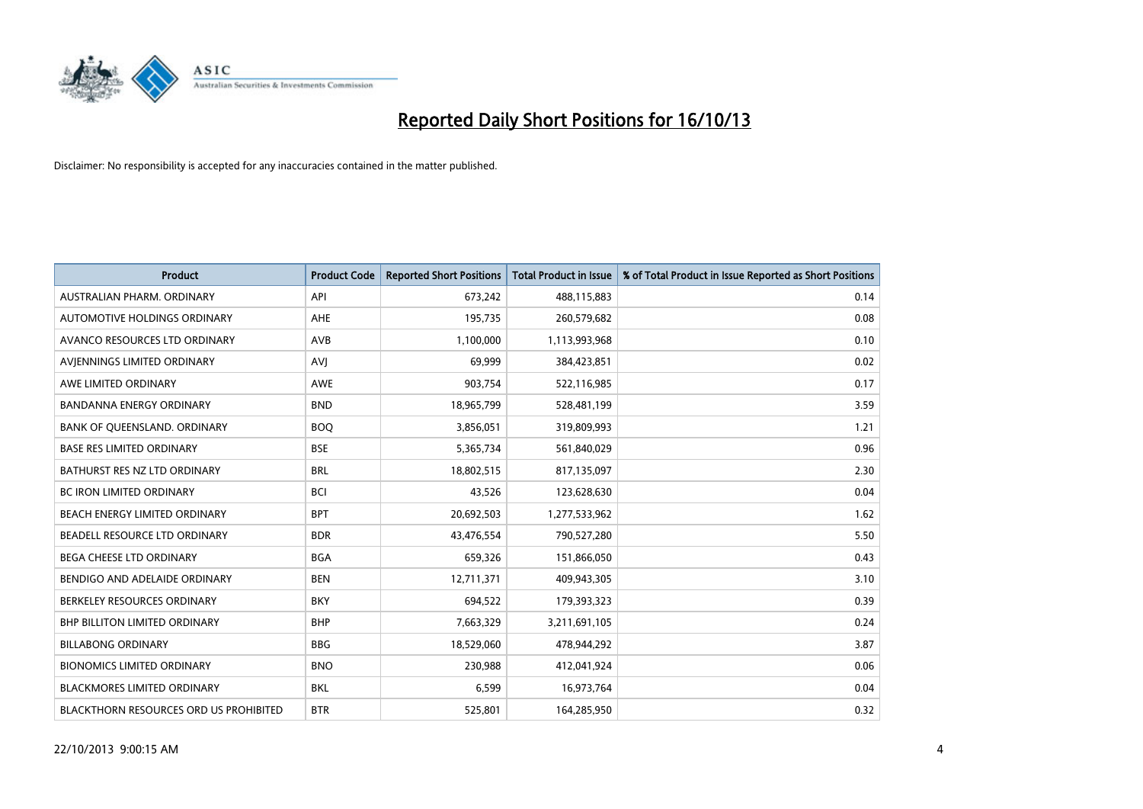

| <b>Product</b>                         | <b>Product Code</b> | <b>Reported Short Positions</b> | <b>Total Product in Issue</b> | % of Total Product in Issue Reported as Short Positions |
|----------------------------------------|---------------------|---------------------------------|-------------------------------|---------------------------------------------------------|
| AUSTRALIAN PHARM, ORDINARY             | API                 | 673,242                         | 488,115,883                   | 0.14                                                    |
| AUTOMOTIVE HOLDINGS ORDINARY           | AHE                 | 195,735                         | 260,579,682                   | 0.08                                                    |
| AVANCO RESOURCES LTD ORDINARY          | AVB                 | 1,100,000                       | 1,113,993,968                 | 0.10                                                    |
| AVJENNINGS LIMITED ORDINARY            | <b>AVJ</b>          | 69,999                          | 384,423,851                   | 0.02                                                    |
| AWE LIMITED ORDINARY                   | <b>AWE</b>          | 903,754                         | 522,116,985                   | 0.17                                                    |
| <b>BANDANNA ENERGY ORDINARY</b>        | <b>BND</b>          | 18,965,799                      | 528,481,199                   | 3.59                                                    |
| BANK OF QUEENSLAND. ORDINARY           | <b>BOO</b>          | 3,856,051                       | 319,809,993                   | 1.21                                                    |
| <b>BASE RES LIMITED ORDINARY</b>       | <b>BSE</b>          | 5,365,734                       | 561,840,029                   | 0.96                                                    |
| BATHURST RES NZ LTD ORDINARY           | <b>BRL</b>          | 18,802,515                      | 817,135,097                   | 2.30                                                    |
| <b>BC IRON LIMITED ORDINARY</b>        | <b>BCI</b>          | 43,526                          | 123,628,630                   | 0.04                                                    |
| BEACH ENERGY LIMITED ORDINARY          | <b>BPT</b>          | 20,692,503                      | 1,277,533,962                 | 1.62                                                    |
| BEADELL RESOURCE LTD ORDINARY          | <b>BDR</b>          | 43,476,554                      | 790,527,280                   | 5.50                                                    |
| <b>BEGA CHEESE LTD ORDINARY</b>        | <b>BGA</b>          | 659,326                         | 151,866,050                   | 0.43                                                    |
| BENDIGO AND ADELAIDE ORDINARY          | <b>BEN</b>          | 12,711,371                      | 409,943,305                   | 3.10                                                    |
| BERKELEY RESOURCES ORDINARY            | <b>BKY</b>          | 694,522                         | 179,393,323                   | 0.39                                                    |
| <b>BHP BILLITON LIMITED ORDINARY</b>   | <b>BHP</b>          | 7,663,329                       | 3,211,691,105                 | 0.24                                                    |
| <b>BILLABONG ORDINARY</b>              | <b>BBG</b>          | 18,529,060                      | 478,944,292                   | 3.87                                                    |
| <b>BIONOMICS LIMITED ORDINARY</b>      | <b>BNO</b>          | 230,988                         | 412,041,924                   | 0.06                                                    |
| <b>BLACKMORES LIMITED ORDINARY</b>     | <b>BKL</b>          | 6,599                           | 16,973,764                    | 0.04                                                    |
| BLACKTHORN RESOURCES ORD US PROHIBITED | <b>BTR</b>          | 525,801                         | 164,285,950                   | 0.32                                                    |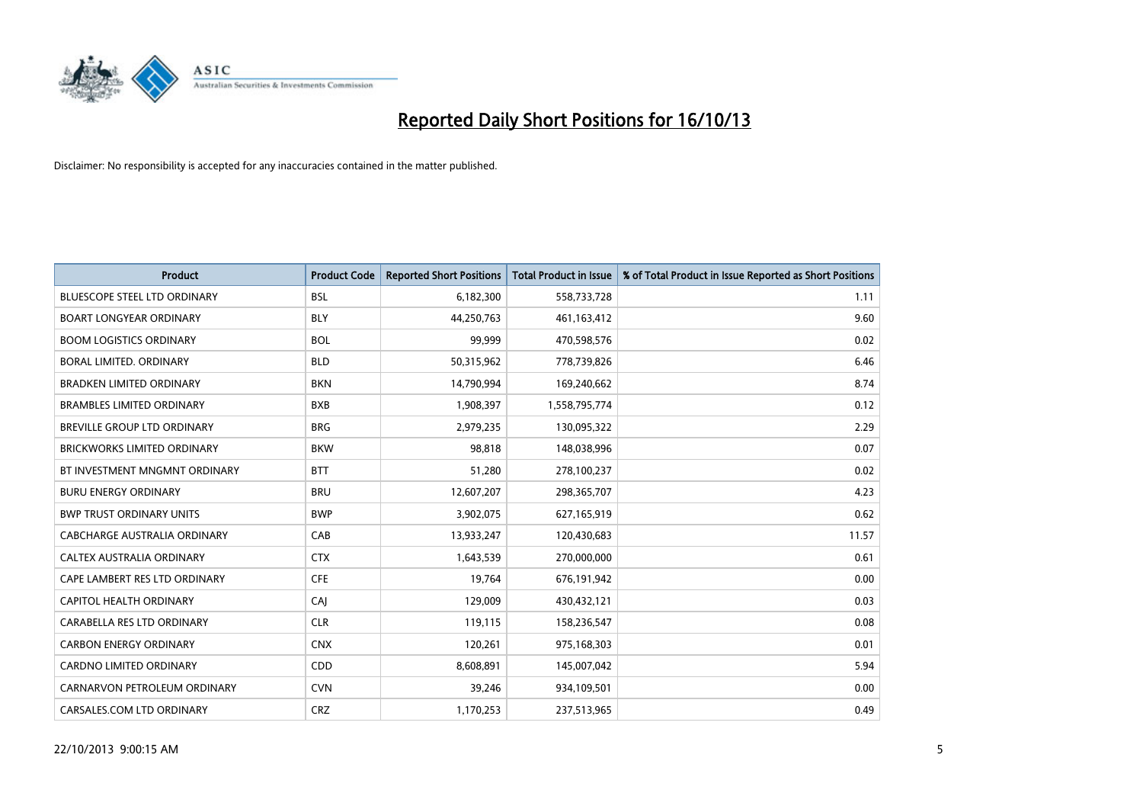

| <b>Product</b>                      | <b>Product Code</b> | <b>Reported Short Positions</b> | <b>Total Product in Issue</b> | % of Total Product in Issue Reported as Short Positions |
|-------------------------------------|---------------------|---------------------------------|-------------------------------|---------------------------------------------------------|
| <b>BLUESCOPE STEEL LTD ORDINARY</b> | <b>BSL</b>          | 6,182,300                       | 558,733,728                   | 1.11                                                    |
| <b>BOART LONGYEAR ORDINARY</b>      | <b>BLY</b>          | 44,250,763                      | 461,163,412                   | 9.60                                                    |
| <b>BOOM LOGISTICS ORDINARY</b>      | <b>BOL</b>          | 99,999                          | 470,598,576                   | 0.02                                                    |
| BORAL LIMITED, ORDINARY             | <b>BLD</b>          | 50,315,962                      | 778,739,826                   | 6.46                                                    |
| <b>BRADKEN LIMITED ORDINARY</b>     | <b>BKN</b>          | 14,790,994                      | 169,240,662                   | 8.74                                                    |
| <b>BRAMBLES LIMITED ORDINARY</b>    | <b>BXB</b>          | 1,908,397                       | 1,558,795,774                 | 0.12                                                    |
| BREVILLE GROUP LTD ORDINARY         | <b>BRG</b>          | 2,979,235                       | 130,095,322                   | 2.29                                                    |
| <b>BRICKWORKS LIMITED ORDINARY</b>  | <b>BKW</b>          | 98,818                          | 148,038,996                   | 0.07                                                    |
| BT INVESTMENT MNGMNT ORDINARY       | <b>BTT</b>          | 51,280                          | 278,100,237                   | 0.02                                                    |
| <b>BURU ENERGY ORDINARY</b>         | <b>BRU</b>          | 12,607,207                      | 298,365,707                   | 4.23                                                    |
| <b>BWP TRUST ORDINARY UNITS</b>     | <b>BWP</b>          | 3,902,075                       | 627,165,919                   | 0.62                                                    |
| CABCHARGE AUSTRALIA ORDINARY        | CAB                 | 13,933,247                      | 120,430,683                   | 11.57                                                   |
| CALTEX AUSTRALIA ORDINARY           | <b>CTX</b>          | 1,643,539                       | 270,000,000                   | 0.61                                                    |
| CAPE LAMBERT RES LTD ORDINARY       | <b>CFE</b>          | 19,764                          | 676,191,942                   | 0.00                                                    |
| <b>CAPITOL HEALTH ORDINARY</b>      | CAJ                 | 129,009                         | 430,432,121                   | 0.03                                                    |
| CARABELLA RES LTD ORDINARY          | <b>CLR</b>          | 119,115                         | 158,236,547                   | 0.08                                                    |
| <b>CARBON ENERGY ORDINARY</b>       | <b>CNX</b>          | 120,261                         | 975,168,303                   | 0.01                                                    |
| <b>CARDNO LIMITED ORDINARY</b>      | CDD                 | 8,608,891                       | 145,007,042                   | 5.94                                                    |
| CARNARVON PETROLEUM ORDINARY        | <b>CVN</b>          | 39,246                          | 934,109,501                   | 0.00                                                    |
| CARSALES.COM LTD ORDINARY           | <b>CRZ</b>          | 1,170,253                       | 237,513,965                   | 0.49                                                    |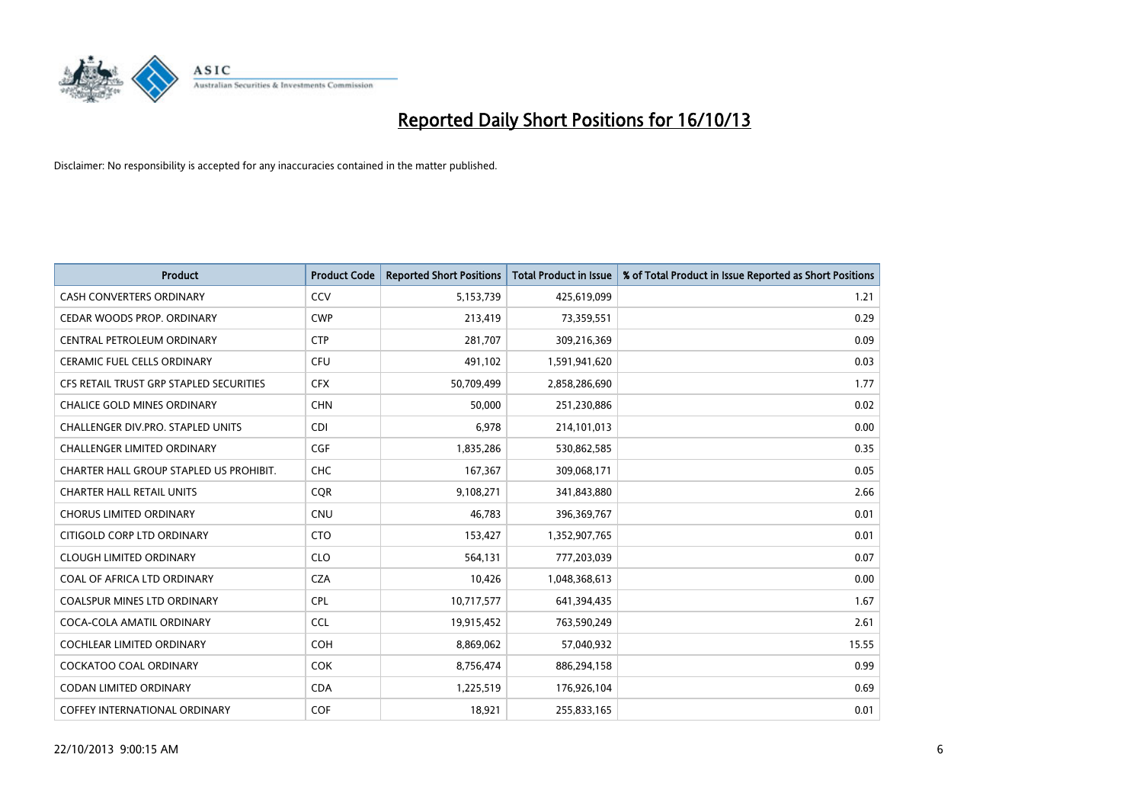

| <b>Product</b>                          | <b>Product Code</b> | <b>Reported Short Positions</b> | <b>Total Product in Issue</b> | % of Total Product in Issue Reported as Short Positions |
|-----------------------------------------|---------------------|---------------------------------|-------------------------------|---------------------------------------------------------|
| <b>CASH CONVERTERS ORDINARY</b>         | CCV                 | 5,153,739                       | 425,619,099                   | 1.21                                                    |
| CEDAR WOODS PROP. ORDINARY              | <b>CWP</b>          | 213,419                         | 73,359,551                    | 0.29                                                    |
| CENTRAL PETROLEUM ORDINARY              | <b>CTP</b>          | 281,707                         | 309,216,369                   | 0.09                                                    |
| CERAMIC FUEL CELLS ORDINARY             | <b>CFU</b>          | 491,102                         | 1,591,941,620                 | 0.03                                                    |
| CFS RETAIL TRUST GRP STAPLED SECURITIES | <b>CFX</b>          | 50,709,499                      | 2,858,286,690                 | 1.77                                                    |
| <b>CHALICE GOLD MINES ORDINARY</b>      | <b>CHN</b>          | 50,000                          | 251,230,886                   | 0.02                                                    |
| CHALLENGER DIV.PRO. STAPLED UNITS       | <b>CDI</b>          | 6,978                           | 214,101,013                   | 0.00                                                    |
| <b>CHALLENGER LIMITED ORDINARY</b>      | <b>CGF</b>          | 1,835,286                       | 530,862,585                   | 0.35                                                    |
| CHARTER HALL GROUP STAPLED US PROHIBIT. | <b>CHC</b>          | 167,367                         | 309,068,171                   | 0.05                                                    |
| <b>CHARTER HALL RETAIL UNITS</b>        | <b>CQR</b>          | 9,108,271                       | 341,843,880                   | 2.66                                                    |
| <b>CHORUS LIMITED ORDINARY</b>          | <b>CNU</b>          | 46,783                          | 396,369,767                   | 0.01                                                    |
| CITIGOLD CORP LTD ORDINARY              | <b>CTO</b>          | 153,427                         | 1,352,907,765                 | 0.01                                                    |
| <b>CLOUGH LIMITED ORDINARY</b>          | <b>CLO</b>          | 564,131                         | 777,203,039                   | 0.07                                                    |
| COAL OF AFRICA LTD ORDINARY             | <b>CZA</b>          | 10,426                          | 1,048,368,613                 | 0.00                                                    |
| <b>COALSPUR MINES LTD ORDINARY</b>      | <b>CPL</b>          | 10,717,577                      | 641,394,435                   | 1.67                                                    |
| COCA-COLA AMATIL ORDINARY               | <b>CCL</b>          | 19,915,452                      | 763,590,249                   | 2.61                                                    |
| COCHLEAR LIMITED ORDINARY               | <b>COH</b>          | 8,869,062                       | 57,040,932                    | 15.55                                                   |
| <b>COCKATOO COAL ORDINARY</b>           | <b>COK</b>          | 8,756,474                       | 886,294,158                   | 0.99                                                    |
| <b>CODAN LIMITED ORDINARY</b>           | <b>CDA</b>          | 1,225,519                       | 176,926,104                   | 0.69                                                    |
| <b>COFFEY INTERNATIONAL ORDINARY</b>    | <b>COF</b>          | 18,921                          | 255,833,165                   | 0.01                                                    |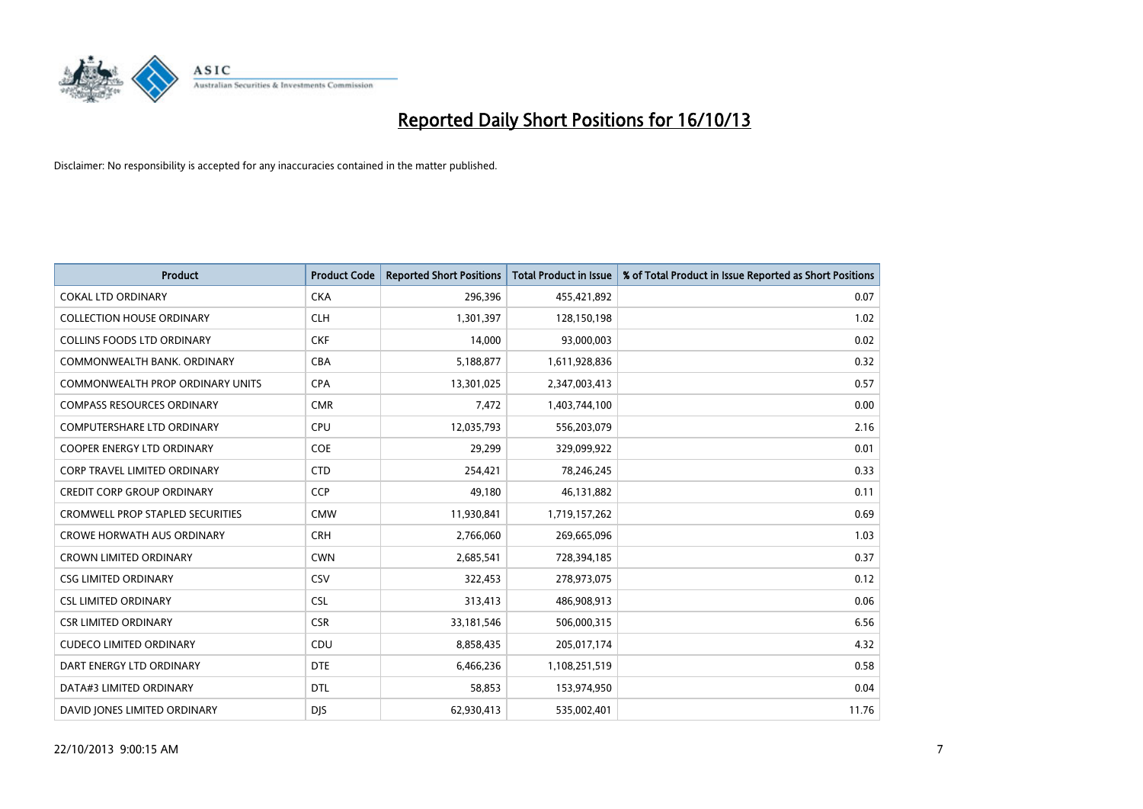

| Product                                 | <b>Product Code</b> | <b>Reported Short Positions</b> | <b>Total Product in Issue</b> | % of Total Product in Issue Reported as Short Positions |
|-----------------------------------------|---------------------|---------------------------------|-------------------------------|---------------------------------------------------------|
| <b>COKAL LTD ORDINARY</b>               | <b>CKA</b>          | 296,396                         | 455,421,892                   | 0.07                                                    |
| <b>COLLECTION HOUSE ORDINARY</b>        | <b>CLH</b>          | 1,301,397                       | 128,150,198                   | 1.02                                                    |
| <b>COLLINS FOODS LTD ORDINARY</b>       | <b>CKF</b>          | 14,000                          | 93,000,003                    | 0.02                                                    |
| COMMONWEALTH BANK, ORDINARY             | <b>CBA</b>          | 5,188,877                       | 1,611,928,836                 | 0.32                                                    |
| <b>COMMONWEALTH PROP ORDINARY UNITS</b> | <b>CPA</b>          | 13,301,025                      | 2,347,003,413                 | 0.57                                                    |
| <b>COMPASS RESOURCES ORDINARY</b>       | <b>CMR</b>          | 7,472                           | 1,403,744,100                 | 0.00                                                    |
| <b>COMPUTERSHARE LTD ORDINARY</b>       | <b>CPU</b>          | 12,035,793                      | 556,203,079                   | 2.16                                                    |
| <b>COOPER ENERGY LTD ORDINARY</b>       | <b>COE</b>          | 29,299                          | 329,099,922                   | 0.01                                                    |
| <b>CORP TRAVEL LIMITED ORDINARY</b>     | <b>CTD</b>          | 254,421                         | 78,246,245                    | 0.33                                                    |
| <b>CREDIT CORP GROUP ORDINARY</b>       | <b>CCP</b>          | 49,180                          | 46,131,882                    | 0.11                                                    |
| <b>CROMWELL PROP STAPLED SECURITIES</b> | <b>CMW</b>          | 11,930,841                      | 1,719,157,262                 | 0.69                                                    |
| <b>CROWE HORWATH AUS ORDINARY</b>       | <b>CRH</b>          | 2,766,060                       | 269,665,096                   | 1.03                                                    |
| <b>CROWN LIMITED ORDINARY</b>           | <b>CWN</b>          | 2,685,541                       | 728,394,185                   | 0.37                                                    |
| <b>CSG LIMITED ORDINARY</b>             | CSV                 | 322,453                         | 278,973,075                   | 0.12                                                    |
| <b>CSL LIMITED ORDINARY</b>             | <b>CSL</b>          | 313,413                         | 486,908,913                   | 0.06                                                    |
| <b>CSR LIMITED ORDINARY</b>             | <b>CSR</b>          | 33, 181, 546                    | 506,000,315                   | 6.56                                                    |
| <b>CUDECO LIMITED ORDINARY</b>          | CDU                 | 8,858,435                       | 205,017,174                   | 4.32                                                    |
| DART ENERGY LTD ORDINARY                | <b>DTE</b>          | 6,466,236                       | 1,108,251,519                 | 0.58                                                    |
| DATA#3 LIMITED ORDINARY                 | <b>DTL</b>          | 58,853                          | 153,974,950                   | 0.04                                                    |
| DAVID JONES LIMITED ORDINARY            | <b>DJS</b>          | 62,930,413                      | 535,002,401                   | 11.76                                                   |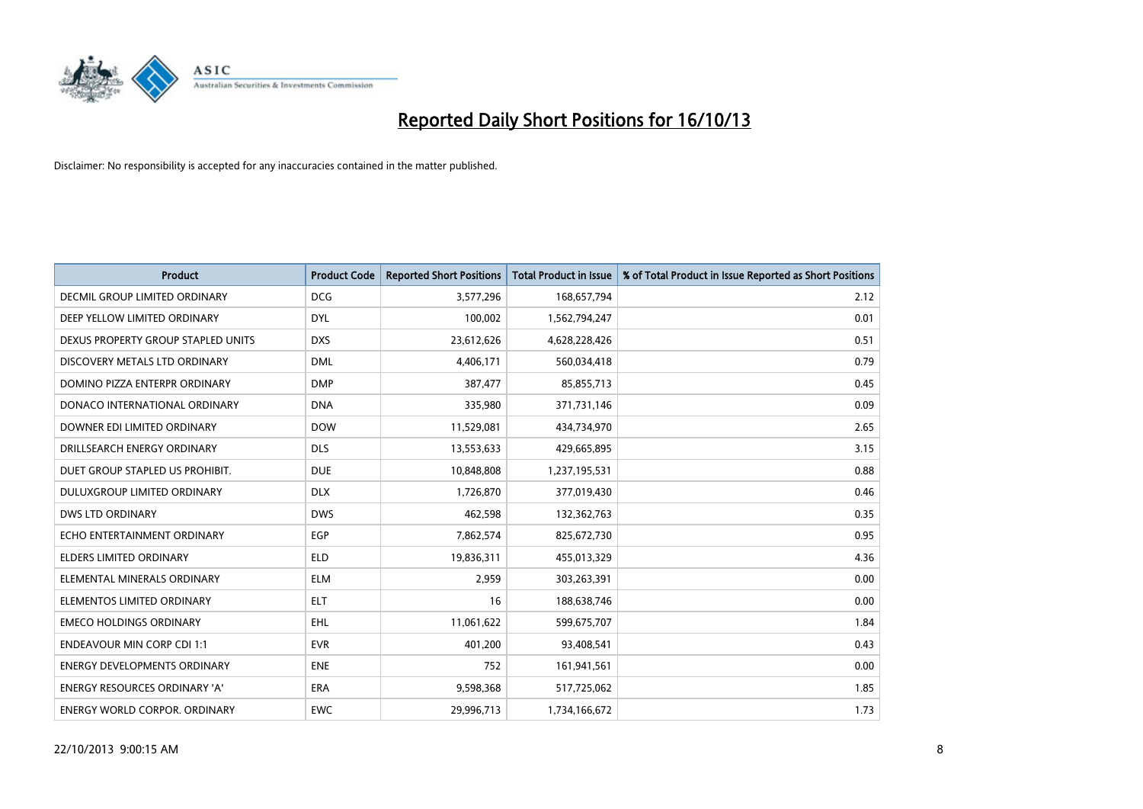

| <b>Product</b>                       | <b>Product Code</b> | <b>Reported Short Positions</b> | <b>Total Product in Issue</b> | % of Total Product in Issue Reported as Short Positions |
|--------------------------------------|---------------------|---------------------------------|-------------------------------|---------------------------------------------------------|
| DECMIL GROUP LIMITED ORDINARY        | <b>DCG</b>          | 3,577,296                       | 168,657,794                   | 2.12                                                    |
| DEEP YELLOW LIMITED ORDINARY         | <b>DYL</b>          | 100,002                         | 1,562,794,247                 | 0.01                                                    |
| DEXUS PROPERTY GROUP STAPLED UNITS   | <b>DXS</b>          | 23,612,626                      | 4,628,228,426                 | 0.51                                                    |
| DISCOVERY METALS LTD ORDINARY        | <b>DML</b>          | 4,406,171                       | 560,034,418                   | 0.79                                                    |
| DOMINO PIZZA ENTERPR ORDINARY        | <b>DMP</b>          | 387,477                         | 85,855,713                    | 0.45                                                    |
| DONACO INTERNATIONAL ORDINARY        | <b>DNA</b>          | 335,980                         | 371,731,146                   | 0.09                                                    |
| DOWNER EDI LIMITED ORDINARY          | <b>DOW</b>          | 11,529,081                      | 434,734,970                   | 2.65                                                    |
| DRILLSEARCH ENERGY ORDINARY          | <b>DLS</b>          | 13,553,633                      | 429,665,895                   | 3.15                                                    |
| DUET GROUP STAPLED US PROHIBIT.      | <b>DUE</b>          | 10,848,808                      | 1,237,195,531                 | 0.88                                                    |
| DULUXGROUP LIMITED ORDINARY          | <b>DLX</b>          | 1,726,870                       | 377,019,430                   | 0.46                                                    |
| DWS LTD ORDINARY                     | <b>DWS</b>          | 462,598                         | 132,362,763                   | 0.35                                                    |
| ECHO ENTERTAINMENT ORDINARY          | <b>EGP</b>          | 7,862,574                       | 825,672,730                   | 0.95                                                    |
| <b>ELDERS LIMITED ORDINARY</b>       | <b>ELD</b>          | 19,836,311                      | 455,013,329                   | 4.36                                                    |
| ELEMENTAL MINERALS ORDINARY          | <b>ELM</b>          | 2,959                           | 303,263,391                   | 0.00                                                    |
| ELEMENTOS LIMITED ORDINARY           | <b>ELT</b>          | 16                              | 188,638,746                   | 0.00                                                    |
| <b>EMECO HOLDINGS ORDINARY</b>       | EHL                 | 11,061,622                      | 599,675,707                   | 1.84                                                    |
| <b>ENDEAVOUR MIN CORP CDI 1:1</b>    | <b>EVR</b>          | 401,200                         | 93,408,541                    | 0.43                                                    |
| <b>ENERGY DEVELOPMENTS ORDINARY</b>  | <b>ENE</b>          | 752                             | 161,941,561                   | 0.00                                                    |
| <b>ENERGY RESOURCES ORDINARY 'A'</b> | <b>ERA</b>          | 9,598,368                       | 517,725,062                   | 1.85                                                    |
| <b>ENERGY WORLD CORPOR. ORDINARY</b> | <b>EWC</b>          | 29,996,713                      | 1,734,166,672                 | 1.73                                                    |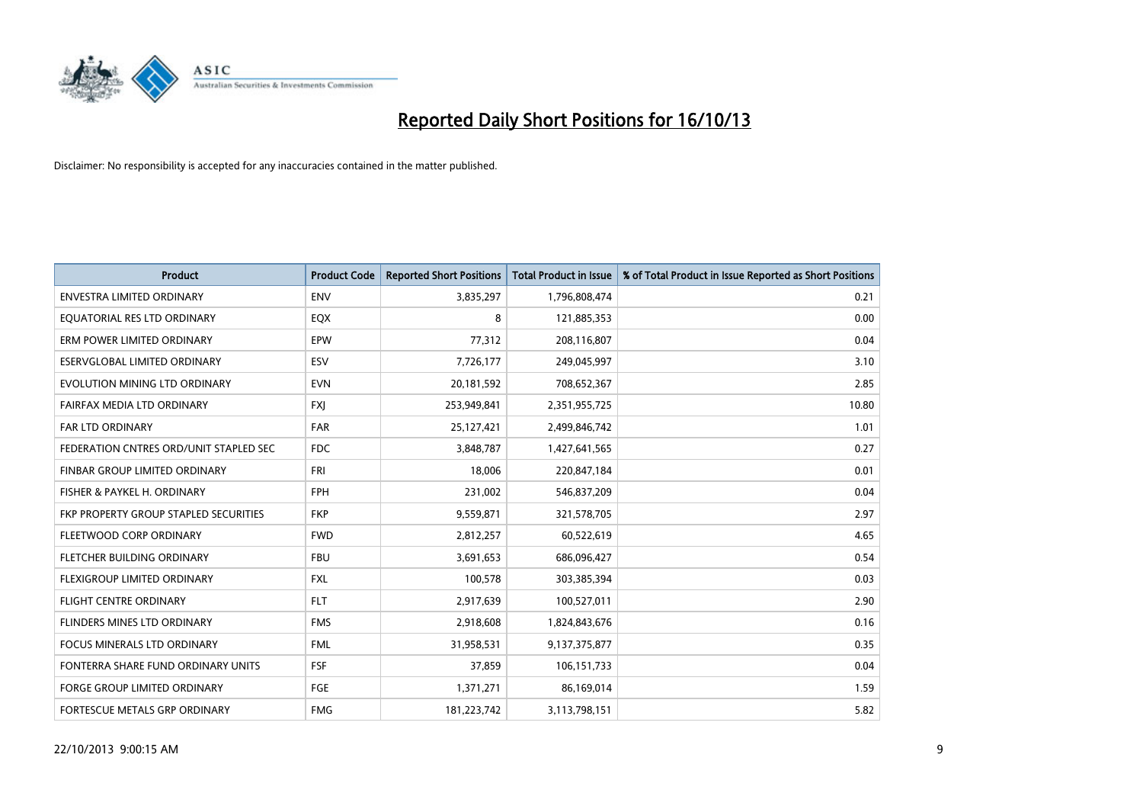

| <b>Product</b>                         | <b>Product Code</b> | <b>Reported Short Positions</b> | <b>Total Product in Issue</b> | % of Total Product in Issue Reported as Short Positions |
|----------------------------------------|---------------------|---------------------------------|-------------------------------|---------------------------------------------------------|
| <b>ENVESTRA LIMITED ORDINARY</b>       | <b>ENV</b>          | 3,835,297                       | 1,796,808,474                 | 0.21                                                    |
| EQUATORIAL RES LTD ORDINARY            | EQX                 | 8                               | 121,885,353                   | 0.00                                                    |
| ERM POWER LIMITED ORDINARY             | EPW                 | 77,312                          | 208,116,807                   | 0.04                                                    |
| ESERVGLOBAL LIMITED ORDINARY           | ESV                 | 7,726,177                       | 249,045,997                   | 3.10                                                    |
| EVOLUTION MINING LTD ORDINARY          | <b>EVN</b>          | 20,181,592                      | 708,652,367                   | 2.85                                                    |
| FAIRFAX MEDIA LTD ORDINARY             | <b>FXI</b>          | 253,949,841                     | 2,351,955,725                 | 10.80                                                   |
| <b>FAR LTD ORDINARY</b>                | <b>FAR</b>          | 25,127,421                      | 2,499,846,742                 | 1.01                                                    |
| FEDERATION CNTRES ORD/UNIT STAPLED SEC | <b>FDC</b>          | 3,848,787                       | 1,427,641,565                 | 0.27                                                    |
| FINBAR GROUP LIMITED ORDINARY          | <b>FRI</b>          | 18,006                          | 220,847,184                   | 0.01                                                    |
| FISHER & PAYKEL H. ORDINARY            | <b>FPH</b>          | 231,002                         | 546,837,209                   | 0.04                                                    |
| FKP PROPERTY GROUP STAPLED SECURITIES  | <b>FKP</b>          | 9,559,871                       | 321,578,705                   | 2.97                                                    |
| FLEETWOOD CORP ORDINARY                | <b>FWD</b>          | 2,812,257                       | 60,522,619                    | 4.65                                                    |
| FLETCHER BUILDING ORDINARY             | <b>FBU</b>          | 3,691,653                       | 686,096,427                   | 0.54                                                    |
| FLEXIGROUP LIMITED ORDINARY            | <b>FXL</b>          | 100,578                         | 303,385,394                   | 0.03                                                    |
| <b>FLIGHT CENTRE ORDINARY</b>          | <b>FLT</b>          | 2,917,639                       | 100,527,011                   | 2.90                                                    |
| FLINDERS MINES LTD ORDINARY            | <b>FMS</b>          | 2,918,608                       | 1,824,843,676                 | 0.16                                                    |
| FOCUS MINERALS LTD ORDINARY            | <b>FML</b>          | 31,958,531                      | 9,137,375,877                 | 0.35                                                    |
| FONTERRA SHARE FUND ORDINARY UNITS     | <b>FSF</b>          | 37,859                          | 106,151,733                   | 0.04                                                    |
| <b>FORGE GROUP LIMITED ORDINARY</b>    | <b>FGE</b>          | 1,371,271                       | 86,169,014                    | 1.59                                                    |
| FORTESCUE METALS GRP ORDINARY          | <b>FMG</b>          | 181,223,742                     | 3,113,798,151                 | 5.82                                                    |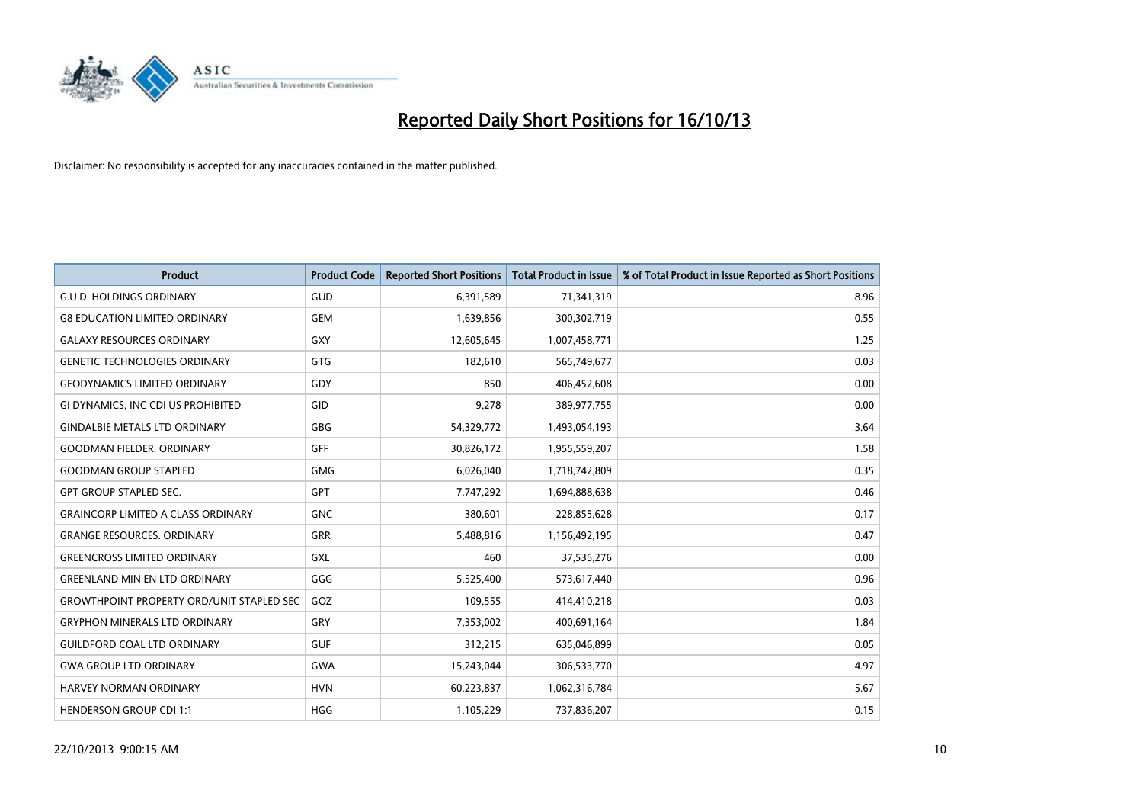

| <b>Product</b>                                   | <b>Product Code</b> | <b>Reported Short Positions</b> | <b>Total Product in Issue</b> | % of Total Product in Issue Reported as Short Positions |
|--------------------------------------------------|---------------------|---------------------------------|-------------------------------|---------------------------------------------------------|
| <b>G.U.D. HOLDINGS ORDINARY</b>                  | GUD                 | 6,391,589                       | 71,341,319                    | 8.96                                                    |
| <b>G8 EDUCATION LIMITED ORDINARY</b>             | <b>GEM</b>          | 1,639,856                       | 300,302,719                   | 0.55                                                    |
| <b>GALAXY RESOURCES ORDINARY</b>                 | GXY                 | 12,605,645                      | 1,007,458,771                 | 1.25                                                    |
| <b>GENETIC TECHNOLOGIES ORDINARY</b>             | GTG                 | 182,610                         | 565,749,677                   | 0.03                                                    |
| <b>GEODYNAMICS LIMITED ORDINARY</b>              | GDY                 | 850                             | 406,452,608                   | 0.00                                                    |
| GI DYNAMICS, INC CDI US PROHIBITED               | GID                 | 9,278                           | 389,977,755                   | 0.00                                                    |
| <b>GINDALBIE METALS LTD ORDINARY</b>             | GBG                 | 54,329,772                      | 1,493,054,193                 | 3.64                                                    |
| <b>GOODMAN FIELDER. ORDINARY</b>                 | <b>GFF</b>          | 30,826,172                      | 1,955,559,207                 | 1.58                                                    |
| <b>GOODMAN GROUP STAPLED</b>                     | <b>GMG</b>          | 6,026,040                       | 1,718,742,809                 | 0.35                                                    |
| <b>GPT GROUP STAPLED SEC.</b>                    | GPT                 | 7,747,292                       | 1,694,888,638                 | 0.46                                                    |
| <b>GRAINCORP LIMITED A CLASS ORDINARY</b>        | <b>GNC</b>          | 380,601                         | 228,855,628                   | 0.17                                                    |
| <b>GRANGE RESOURCES, ORDINARY</b>                | GRR                 | 5,488,816                       | 1,156,492,195                 | 0.47                                                    |
| <b>GREENCROSS LIMITED ORDINARY</b>               | <b>GXL</b>          | 460                             | 37,535,276                    | 0.00                                                    |
| <b>GREENLAND MIN EN LTD ORDINARY</b>             | GGG                 | 5,525,400                       | 573,617,440                   | 0.96                                                    |
| <b>GROWTHPOINT PROPERTY ORD/UNIT STAPLED SEC</b> | GOZ                 | 109,555                         | 414,410,218                   | 0.03                                                    |
| <b>GRYPHON MINERALS LTD ORDINARY</b>             | GRY                 | 7,353,002                       | 400,691,164                   | 1.84                                                    |
| <b>GUILDFORD COAL LTD ORDINARY</b>               | <b>GUF</b>          | 312,215                         | 635,046,899                   | 0.05                                                    |
| <b>GWA GROUP LTD ORDINARY</b>                    | <b>GWA</b>          | 15,243,044                      | 306,533,770                   | 4.97                                                    |
| <b>HARVEY NORMAN ORDINARY</b>                    | <b>HVN</b>          | 60,223,837                      | 1,062,316,784                 | 5.67                                                    |
| <b>HENDERSON GROUP CDI 1:1</b>                   | <b>HGG</b>          | 1,105,229                       | 737,836,207                   | 0.15                                                    |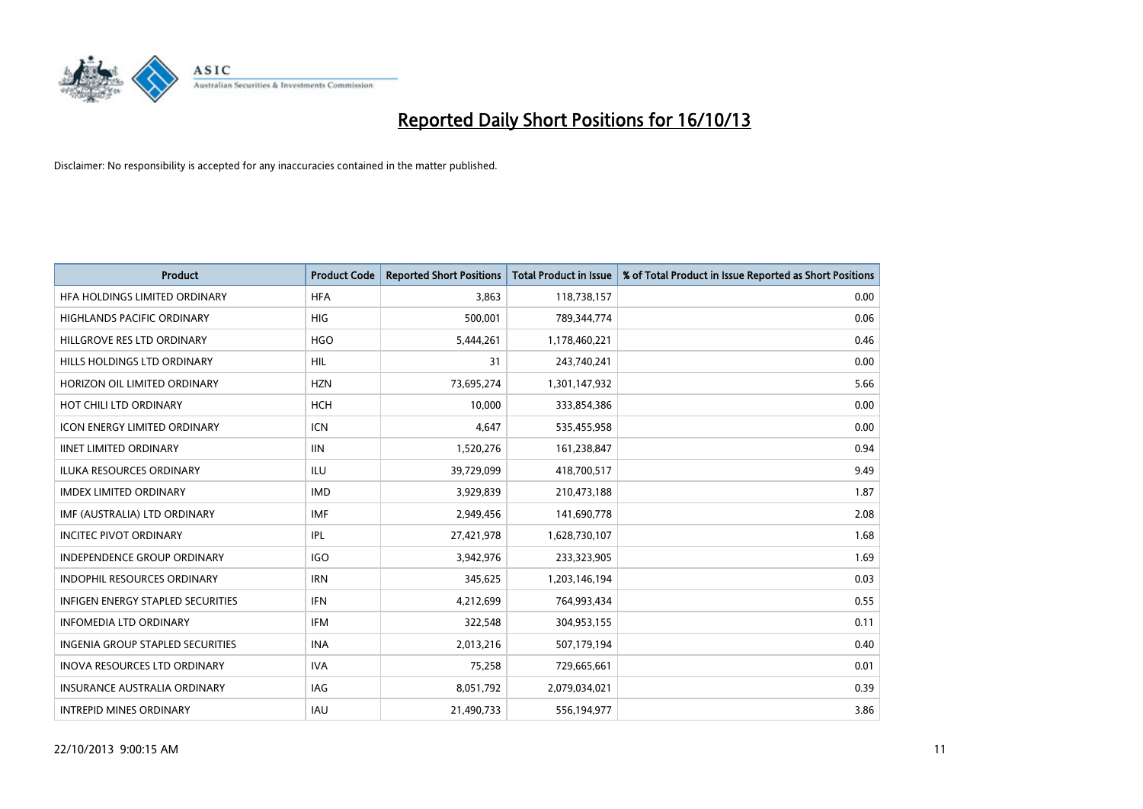

| <b>Product</b>                           | <b>Product Code</b> | <b>Reported Short Positions</b> | <b>Total Product in Issue</b> | % of Total Product in Issue Reported as Short Positions |
|------------------------------------------|---------------------|---------------------------------|-------------------------------|---------------------------------------------------------|
| HFA HOLDINGS LIMITED ORDINARY            | <b>HFA</b>          | 3.863                           | 118,738,157                   | 0.00                                                    |
| <b>HIGHLANDS PACIFIC ORDINARY</b>        | <b>HIG</b>          | 500,001                         | 789,344,774                   | 0.06                                                    |
| HILLGROVE RES LTD ORDINARY               | <b>HGO</b>          | 5,444,261                       | 1,178,460,221                 | 0.46                                                    |
| HILLS HOLDINGS LTD ORDINARY              | <b>HIL</b>          | 31                              | 243,740,241                   | 0.00                                                    |
| HORIZON OIL LIMITED ORDINARY             | <b>HZN</b>          | 73,695,274                      | 1,301,147,932                 | 5.66                                                    |
| HOT CHILI LTD ORDINARY                   | <b>HCH</b>          | 10,000                          | 333,854,386                   | 0.00                                                    |
| <b>ICON ENERGY LIMITED ORDINARY</b>      | <b>ICN</b>          | 4,647                           | 535,455,958                   | 0.00                                                    |
| <b>IINET LIMITED ORDINARY</b>            | <b>IIN</b>          | 1,520,276                       | 161,238,847                   | 0.94                                                    |
| <b>ILUKA RESOURCES ORDINARY</b>          | ILU                 | 39,729,099                      | 418,700,517                   | 9.49                                                    |
| <b>IMDEX LIMITED ORDINARY</b>            | <b>IMD</b>          | 3,929,839                       | 210,473,188                   | 1.87                                                    |
| IMF (AUSTRALIA) LTD ORDINARY             | <b>IMF</b>          | 2,949,456                       | 141,690,778                   | 2.08                                                    |
| INCITEC PIVOT ORDINARY                   | IPL                 | 27,421,978                      | 1,628,730,107                 | 1.68                                                    |
| <b>INDEPENDENCE GROUP ORDINARY</b>       | <b>IGO</b>          | 3,942,976                       | 233,323,905                   | 1.69                                                    |
| <b>INDOPHIL RESOURCES ORDINARY</b>       | <b>IRN</b>          | 345,625                         | 1,203,146,194                 | 0.03                                                    |
| <b>INFIGEN ENERGY STAPLED SECURITIES</b> | IFN                 | 4,212,699                       | 764,993,434                   | 0.55                                                    |
| <b>INFOMEDIA LTD ORDINARY</b>            | IFM                 | 322,548                         | 304,953,155                   | 0.11                                                    |
| INGENIA GROUP STAPLED SECURITIES         | <b>INA</b>          | 2,013,216                       | 507,179,194                   | 0.40                                                    |
| <b>INOVA RESOURCES LTD ORDINARY</b>      | <b>IVA</b>          | 75,258                          | 729,665,661                   | 0.01                                                    |
| <b>INSURANCE AUSTRALIA ORDINARY</b>      | IAG                 | 8,051,792                       | 2,079,034,021                 | 0.39                                                    |
| <b>INTREPID MINES ORDINARY</b>           | IAU                 | 21,490,733                      | 556,194,977                   | 3.86                                                    |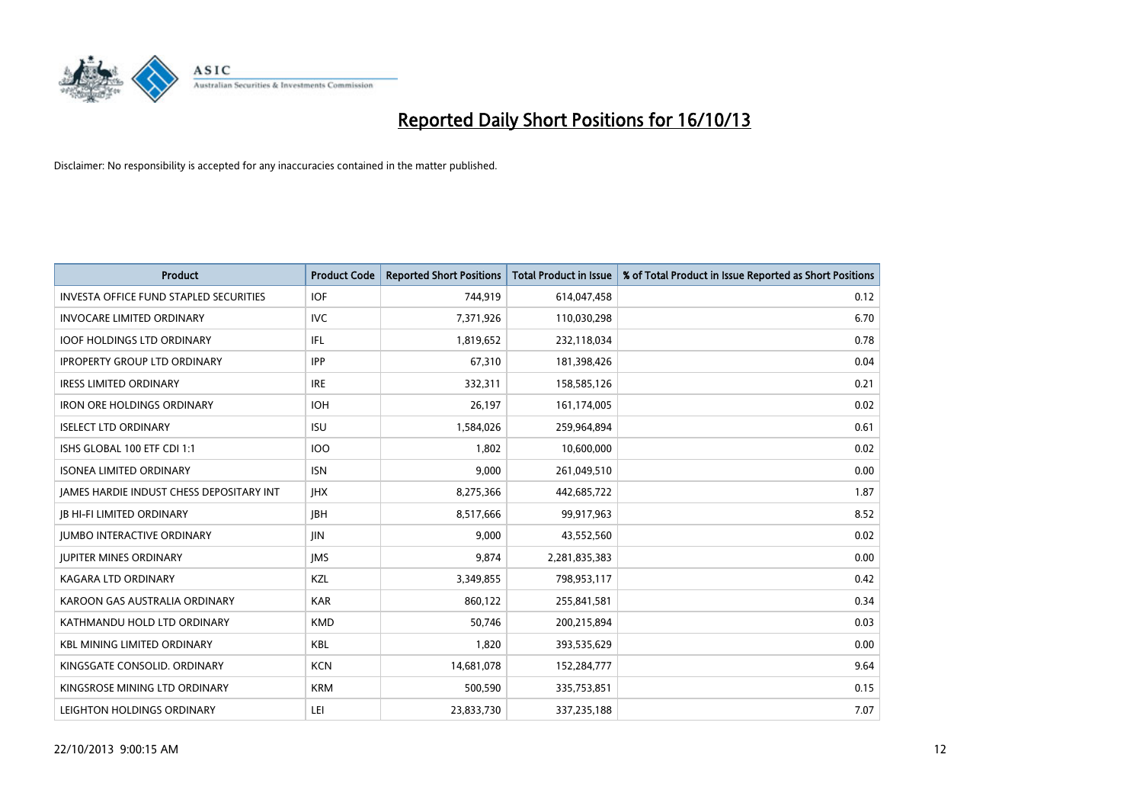

| <b>Product</b>                                  | <b>Product Code</b> | <b>Reported Short Positions</b> | <b>Total Product in Issue</b> | % of Total Product in Issue Reported as Short Positions |
|-------------------------------------------------|---------------------|---------------------------------|-------------------------------|---------------------------------------------------------|
| <b>INVESTA OFFICE FUND STAPLED SECURITIES</b>   | <b>IOF</b>          | 744,919                         | 614,047,458                   | 0.12                                                    |
| <b>INVOCARE LIMITED ORDINARY</b>                | <b>IVC</b>          | 7,371,926                       | 110,030,298                   | 6.70                                                    |
| <b>IOOF HOLDINGS LTD ORDINARY</b>               | IFL                 | 1,819,652                       | 232,118,034                   | 0.78                                                    |
| <b>IPROPERTY GROUP LTD ORDINARY</b>             | <b>IPP</b>          | 67,310                          | 181,398,426                   | 0.04                                                    |
| <b>IRESS LIMITED ORDINARY</b>                   | <b>IRE</b>          | 332,311                         | 158,585,126                   | 0.21                                                    |
| <b>IRON ORE HOLDINGS ORDINARY</b>               | <b>IOH</b>          | 26,197                          | 161,174,005                   | 0.02                                                    |
| <b>ISELECT LTD ORDINARY</b>                     | <b>ISU</b>          | 1,584,026                       | 259,964,894                   | 0.61                                                    |
| ISHS GLOBAL 100 ETF CDI 1:1                     | <b>IOO</b>          | 1,802                           | 10,600,000                    | 0.02                                                    |
| <b>ISONEA LIMITED ORDINARY</b>                  | <b>ISN</b>          | 9,000                           | 261,049,510                   | 0.00                                                    |
| <b>JAMES HARDIE INDUST CHESS DEPOSITARY INT</b> | <b>JHX</b>          | 8,275,366                       | 442,685,722                   | 1.87                                                    |
| <b>JB HI-FI LIMITED ORDINARY</b>                | <b>IBH</b>          | 8,517,666                       | 99,917,963                    | 8.52                                                    |
| <b>JUMBO INTERACTIVE ORDINARY</b>               | JIN                 | 9,000                           | 43,552,560                    | 0.02                                                    |
| <b>JUPITER MINES ORDINARY</b>                   | <b>IMS</b>          | 9,874                           | 2,281,835,383                 | 0.00                                                    |
| <b>KAGARA LTD ORDINARY</b>                      | KZL                 | 3,349,855                       | 798,953,117                   | 0.42                                                    |
| KAROON GAS AUSTRALIA ORDINARY                   | <b>KAR</b>          | 860,122                         | 255,841,581                   | 0.34                                                    |
| KATHMANDU HOLD LTD ORDINARY                     | <b>KMD</b>          | 50,746                          | 200,215,894                   | 0.03                                                    |
| <b>KBL MINING LIMITED ORDINARY</b>              | KBL                 | 1,820                           | 393,535,629                   | 0.00                                                    |
| KINGSGATE CONSOLID. ORDINARY                    | <b>KCN</b>          | 14,681,078                      | 152,284,777                   | 9.64                                                    |
| KINGSROSE MINING LTD ORDINARY                   | <b>KRM</b>          | 500,590                         | 335,753,851                   | 0.15                                                    |
| LEIGHTON HOLDINGS ORDINARY                      | LEI                 | 23,833,730                      | 337,235,188                   | 7.07                                                    |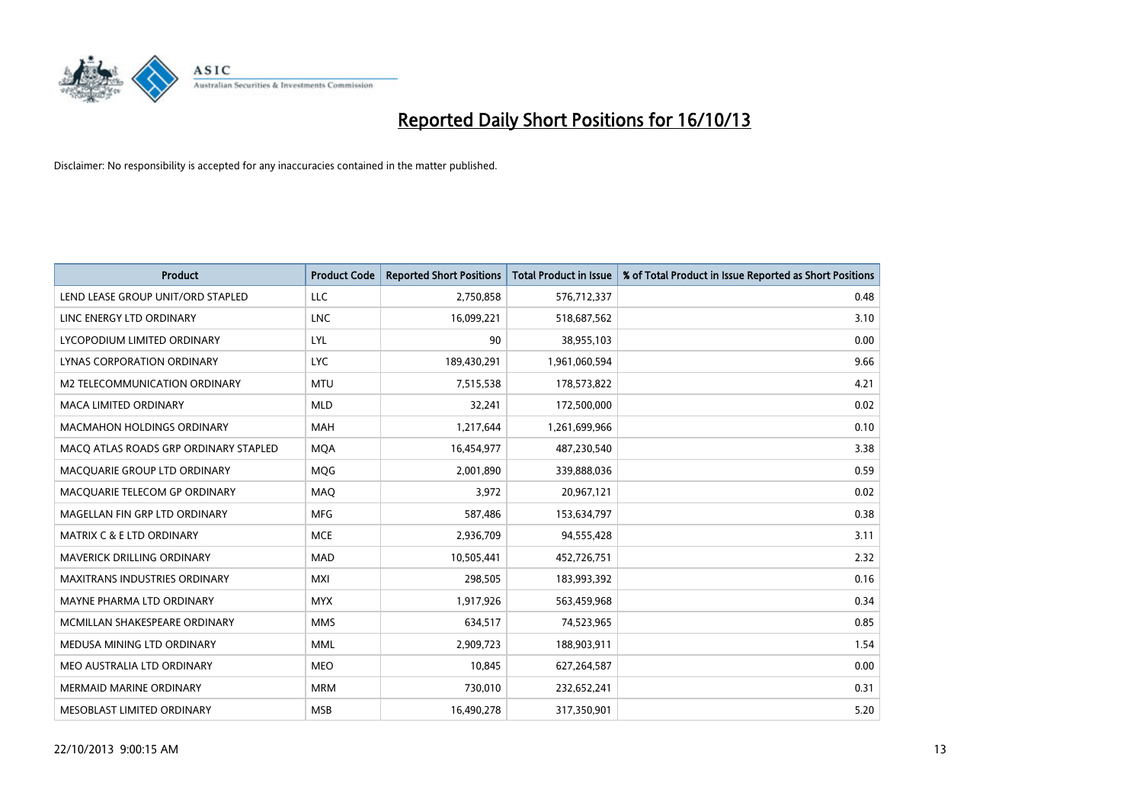

| <b>Product</b>                        | <b>Product Code</b> | <b>Reported Short Positions</b> | <b>Total Product in Issue</b> | % of Total Product in Issue Reported as Short Positions |
|---------------------------------------|---------------------|---------------------------------|-------------------------------|---------------------------------------------------------|
| LEND LEASE GROUP UNIT/ORD STAPLED     | LLC                 | 2,750,858                       | 576,712,337                   | 0.48                                                    |
| LINC ENERGY LTD ORDINARY              | LNC                 | 16,099,221                      | 518,687,562                   | 3.10                                                    |
| LYCOPODIUM LIMITED ORDINARY           | LYL                 | 90                              | 38,955,103                    | 0.00                                                    |
| LYNAS CORPORATION ORDINARY            | <b>LYC</b>          | 189,430,291                     | 1,961,060,594                 | 9.66                                                    |
| M2 TELECOMMUNICATION ORDINARY         | <b>MTU</b>          | 7,515,538                       | 178,573,822                   | 4.21                                                    |
| <b>MACA LIMITED ORDINARY</b>          | <b>MLD</b>          | 32,241                          | 172,500,000                   | 0.02                                                    |
| MACMAHON HOLDINGS ORDINARY            | <b>MAH</b>          | 1,217,644                       | 1,261,699,966                 | 0.10                                                    |
| MACO ATLAS ROADS GRP ORDINARY STAPLED | <b>MQA</b>          | 16,454,977                      | 487,230,540                   | 3.38                                                    |
| MACQUARIE GROUP LTD ORDINARY          | <b>MOG</b>          | 2,001,890                       | 339,888,036                   | 0.59                                                    |
| MACQUARIE TELECOM GP ORDINARY         | MAQ                 | 3,972                           | 20,967,121                    | 0.02                                                    |
| MAGELLAN FIN GRP LTD ORDINARY         | MFG                 | 587,486                         | 153,634,797                   | 0.38                                                    |
| <b>MATRIX C &amp; E LTD ORDINARY</b>  | <b>MCE</b>          | 2,936,709                       | 94,555,428                    | 3.11                                                    |
| <b>MAVERICK DRILLING ORDINARY</b>     | <b>MAD</b>          | 10,505,441                      | 452,726,751                   | 2.32                                                    |
| <b>MAXITRANS INDUSTRIES ORDINARY</b>  | <b>MXI</b>          | 298,505                         | 183,993,392                   | 0.16                                                    |
| MAYNE PHARMA LTD ORDINARY             | <b>MYX</b>          | 1,917,926                       | 563,459,968                   | 0.34                                                    |
| MCMILLAN SHAKESPEARE ORDINARY         | <b>MMS</b>          | 634,517                         | 74,523,965                    | 0.85                                                    |
| MEDUSA MINING LTD ORDINARY            | <b>MML</b>          | 2,909,723                       | 188,903,911                   | 1.54                                                    |
| MEO AUSTRALIA LTD ORDINARY            | <b>MEO</b>          | 10.845                          | 627,264,587                   | 0.00                                                    |
| <b>MERMAID MARINE ORDINARY</b>        | <b>MRM</b>          | 730,010                         | 232,652,241                   | 0.31                                                    |
| MESOBLAST LIMITED ORDINARY            | <b>MSB</b>          | 16,490,278                      | 317,350,901                   | 5.20                                                    |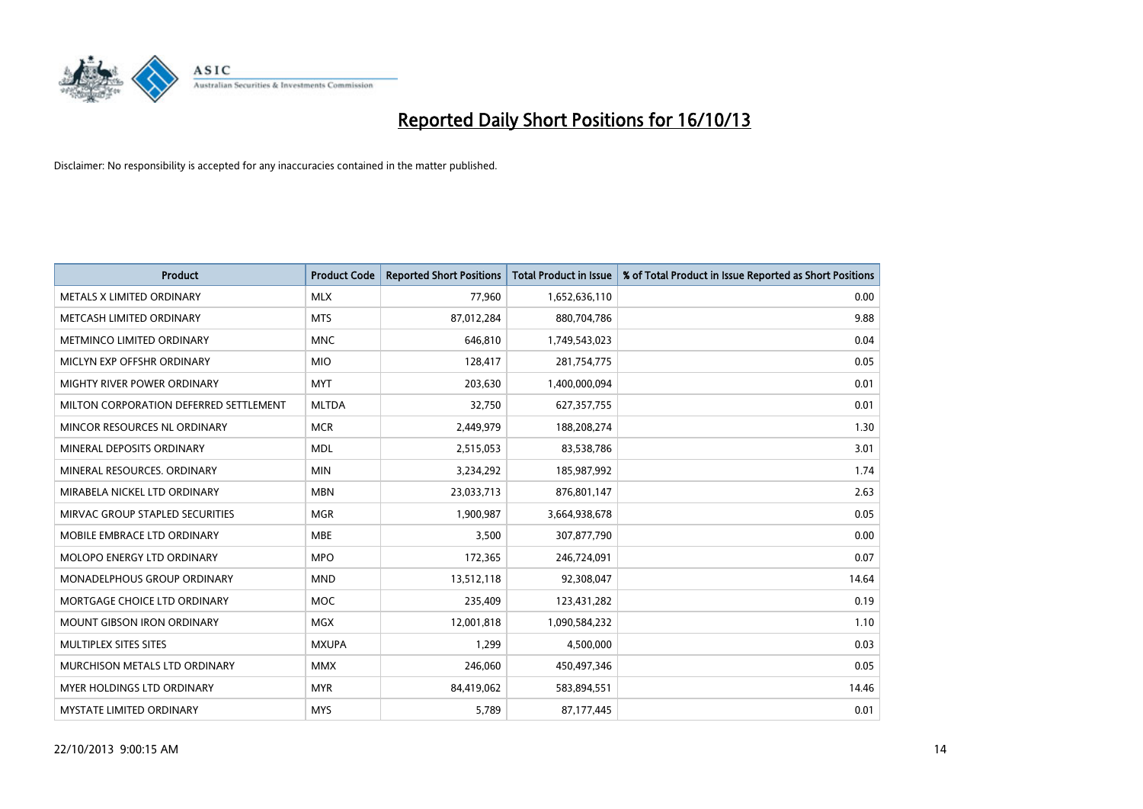

| <b>Product</b>                         | <b>Product Code</b> | <b>Reported Short Positions</b> | <b>Total Product in Issue</b> | % of Total Product in Issue Reported as Short Positions |
|----------------------------------------|---------------------|---------------------------------|-------------------------------|---------------------------------------------------------|
| METALS X LIMITED ORDINARY              | <b>MLX</b>          | 77,960                          | 1,652,636,110                 | 0.00                                                    |
| METCASH LIMITED ORDINARY               | <b>MTS</b>          | 87,012,284                      | 880,704,786                   | 9.88                                                    |
| METMINCO LIMITED ORDINARY              | <b>MNC</b>          | 646,810                         | 1,749,543,023                 | 0.04                                                    |
| MICLYN EXP OFFSHR ORDINARY             | <b>MIO</b>          | 128,417                         | 281,754,775                   | 0.05                                                    |
| MIGHTY RIVER POWER ORDINARY            | <b>MYT</b>          | 203,630                         | 1,400,000,094                 | 0.01                                                    |
| MILTON CORPORATION DEFERRED SETTLEMENT | <b>MLTDA</b>        | 32,750                          | 627,357,755                   | 0.01                                                    |
| MINCOR RESOURCES NL ORDINARY           | <b>MCR</b>          | 2,449,979                       | 188,208,274                   | 1.30                                                    |
| MINERAL DEPOSITS ORDINARY              | <b>MDL</b>          | 2,515,053                       | 83,538,786                    | 3.01                                                    |
| MINERAL RESOURCES, ORDINARY            | <b>MIN</b>          | 3,234,292                       | 185,987,992                   | 1.74                                                    |
| MIRABELA NICKEL LTD ORDINARY           | <b>MBN</b>          | 23,033,713                      | 876,801,147                   | 2.63                                                    |
| MIRVAC GROUP STAPLED SECURITIES        | <b>MGR</b>          | 1,900,987                       | 3,664,938,678                 | 0.05                                                    |
| MOBILE EMBRACE LTD ORDINARY            | <b>MBE</b>          | 3,500                           | 307,877,790                   | 0.00                                                    |
| MOLOPO ENERGY LTD ORDINARY             | <b>MPO</b>          | 172,365                         | 246,724,091                   | 0.07                                                    |
| MONADELPHOUS GROUP ORDINARY            | <b>MND</b>          | 13,512,118                      | 92,308,047                    | 14.64                                                   |
| MORTGAGE CHOICE LTD ORDINARY           | <b>MOC</b>          | 235,409                         | 123,431,282                   | 0.19                                                    |
| MOUNT GIBSON IRON ORDINARY             | <b>MGX</b>          | 12,001,818                      | 1,090,584,232                 | 1.10                                                    |
| MULTIPLEX SITES SITES                  | <b>MXUPA</b>        | 1,299                           | 4,500,000                     | 0.03                                                    |
| MURCHISON METALS LTD ORDINARY          | <b>MMX</b>          | 246,060                         | 450,497,346                   | 0.05                                                    |
| MYER HOLDINGS LTD ORDINARY             | <b>MYR</b>          | 84,419,062                      | 583,894,551                   | 14.46                                                   |
| MYSTATE LIMITED ORDINARY               | <b>MYS</b>          | 5,789                           | 87,177,445                    | 0.01                                                    |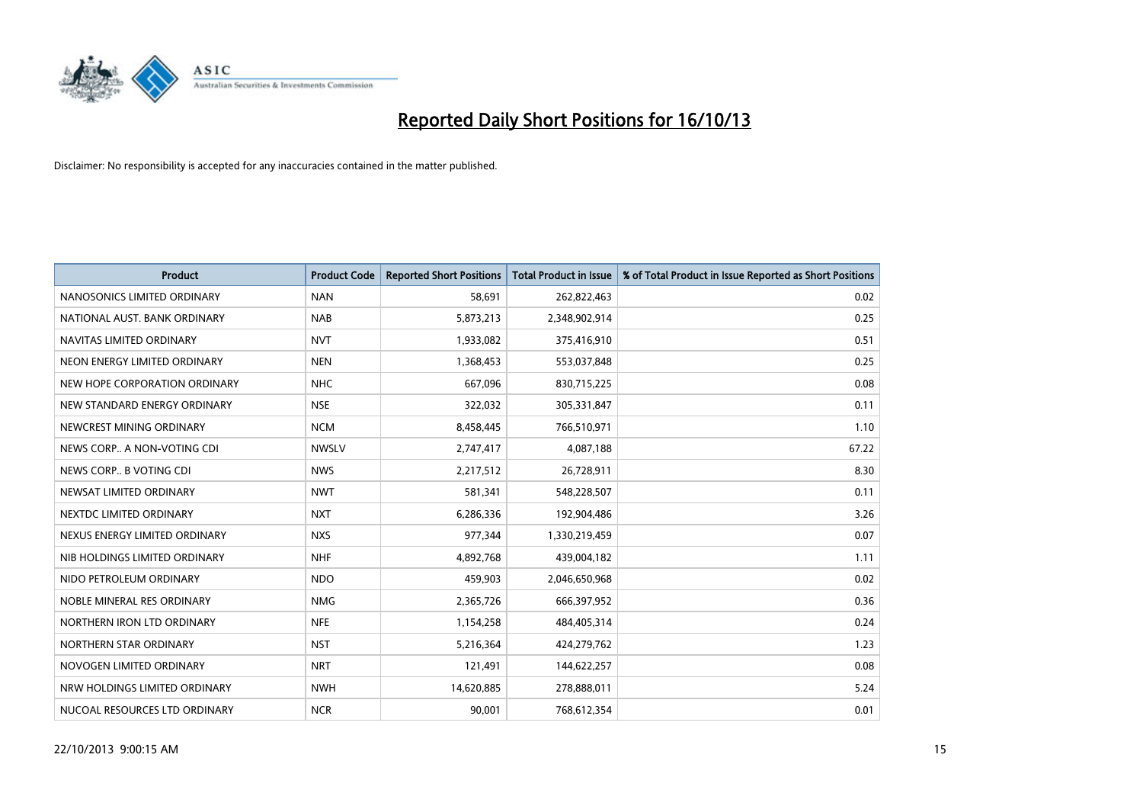

| <b>Product</b>                | <b>Product Code</b> | <b>Reported Short Positions</b> | <b>Total Product in Issue</b> | % of Total Product in Issue Reported as Short Positions |
|-------------------------------|---------------------|---------------------------------|-------------------------------|---------------------------------------------------------|
| NANOSONICS LIMITED ORDINARY   | <b>NAN</b>          | 58,691                          | 262,822,463                   | 0.02                                                    |
| NATIONAL AUST. BANK ORDINARY  | <b>NAB</b>          | 5,873,213                       | 2,348,902,914                 | 0.25                                                    |
| NAVITAS LIMITED ORDINARY      | <b>NVT</b>          | 1,933,082                       | 375,416,910                   | 0.51                                                    |
| NEON ENERGY LIMITED ORDINARY  | <b>NEN</b>          | 1,368,453                       | 553,037,848                   | 0.25                                                    |
| NEW HOPE CORPORATION ORDINARY | <b>NHC</b>          | 667,096                         | 830,715,225                   | 0.08                                                    |
| NEW STANDARD ENERGY ORDINARY  | <b>NSE</b>          | 322,032                         | 305,331,847                   | 0.11                                                    |
| NEWCREST MINING ORDINARY      | <b>NCM</b>          | 8,458,445                       | 766,510,971                   | 1.10                                                    |
| NEWS CORP A NON-VOTING CDI    | <b>NWSLV</b>        | 2,747,417                       | 4,087,188                     | 67.22                                                   |
| NEWS CORP B VOTING CDI        | <b>NWS</b>          | 2,217,512                       | 26,728,911                    | 8.30                                                    |
| NEWSAT LIMITED ORDINARY       | <b>NWT</b>          | 581,341                         | 548,228,507                   | 0.11                                                    |
| NEXTDC LIMITED ORDINARY       | <b>NXT</b>          | 6,286,336                       | 192,904,486                   | 3.26                                                    |
| NEXUS ENERGY LIMITED ORDINARY | <b>NXS</b>          | 977,344                         | 1,330,219,459                 | 0.07                                                    |
| NIB HOLDINGS LIMITED ORDINARY | <b>NHF</b>          | 4,892,768                       | 439,004,182                   | 1.11                                                    |
| NIDO PETROLEUM ORDINARY       | <b>NDO</b>          | 459,903                         | 2,046,650,968                 | 0.02                                                    |
| NOBLE MINERAL RES ORDINARY    | <b>NMG</b>          | 2,365,726                       | 666,397,952                   | 0.36                                                    |
| NORTHERN IRON LTD ORDINARY    | <b>NFE</b>          | 1,154,258                       | 484,405,314                   | 0.24                                                    |
| NORTHERN STAR ORDINARY        | <b>NST</b>          | 5,216,364                       | 424,279,762                   | 1.23                                                    |
| NOVOGEN LIMITED ORDINARY      | <b>NRT</b>          | 121,491                         | 144,622,257                   | 0.08                                                    |
| NRW HOLDINGS LIMITED ORDINARY | <b>NWH</b>          | 14,620,885                      | 278,888,011                   | 5.24                                                    |
| NUCOAL RESOURCES LTD ORDINARY | <b>NCR</b>          | 90,001                          | 768,612,354                   | 0.01                                                    |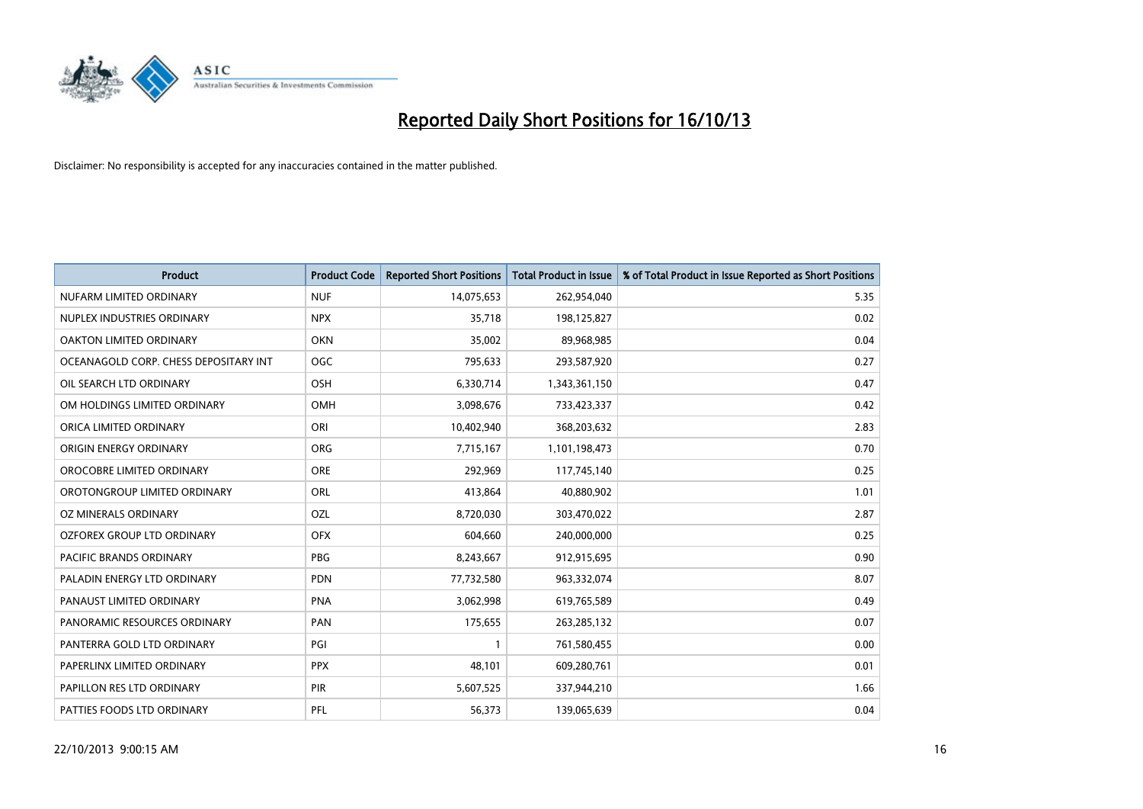

| <b>Product</b>                        | <b>Product Code</b> | <b>Reported Short Positions</b> | <b>Total Product in Issue</b> | % of Total Product in Issue Reported as Short Positions |
|---------------------------------------|---------------------|---------------------------------|-------------------------------|---------------------------------------------------------|
| NUFARM LIMITED ORDINARY               | <b>NUF</b>          | 14,075,653                      | 262,954,040                   | 5.35                                                    |
| NUPLEX INDUSTRIES ORDINARY            | <b>NPX</b>          | 35,718                          | 198,125,827                   | 0.02                                                    |
| OAKTON LIMITED ORDINARY               | <b>OKN</b>          | 35,002                          | 89,968,985                    | 0.04                                                    |
| OCEANAGOLD CORP. CHESS DEPOSITARY INT | <b>OGC</b>          | 795,633                         | 293,587,920                   | 0.27                                                    |
| OIL SEARCH LTD ORDINARY               | OSH                 | 6,330,714                       | 1,343,361,150                 | 0.47                                                    |
| OM HOLDINGS LIMITED ORDINARY          | <b>OMH</b>          | 3,098,676                       | 733,423,337                   | 0.42                                                    |
| ORICA LIMITED ORDINARY                | ORI                 | 10,402,940                      | 368,203,632                   | 2.83                                                    |
| ORIGIN ENERGY ORDINARY                | <b>ORG</b>          | 7,715,167                       | 1,101,198,473                 | 0.70                                                    |
| OROCOBRE LIMITED ORDINARY             | <b>ORE</b>          | 292,969                         | 117,745,140                   | 0.25                                                    |
| OROTONGROUP LIMITED ORDINARY          | ORL                 | 413,864                         | 40,880,902                    | 1.01                                                    |
| OZ MINERALS ORDINARY                  | OZL                 | 8,720,030                       | 303,470,022                   | 2.87                                                    |
| <b>OZFOREX GROUP LTD ORDINARY</b>     | <b>OFX</b>          | 604,660                         | 240,000,000                   | 0.25                                                    |
| PACIFIC BRANDS ORDINARY               | <b>PBG</b>          | 8,243,667                       | 912,915,695                   | 0.90                                                    |
| PALADIN ENERGY LTD ORDINARY           | <b>PDN</b>          | 77,732,580                      | 963,332,074                   | 8.07                                                    |
| PANAUST LIMITED ORDINARY              | <b>PNA</b>          | 3,062,998                       | 619,765,589                   | 0.49                                                    |
| PANORAMIC RESOURCES ORDINARY          | PAN                 | 175,655                         | 263,285,132                   | 0.07                                                    |
| PANTERRA GOLD LTD ORDINARY            | PGI                 | $\mathbf{1}$                    | 761,580,455                   | 0.00                                                    |
| PAPERLINX LIMITED ORDINARY            | <b>PPX</b>          | 48,101                          | 609,280,761                   | 0.01                                                    |
| PAPILLON RES LTD ORDINARY             | PIR                 | 5,607,525                       | 337,944,210                   | 1.66                                                    |
| PATTIES FOODS LTD ORDINARY            | PFL                 | 56,373                          | 139,065,639                   | 0.04                                                    |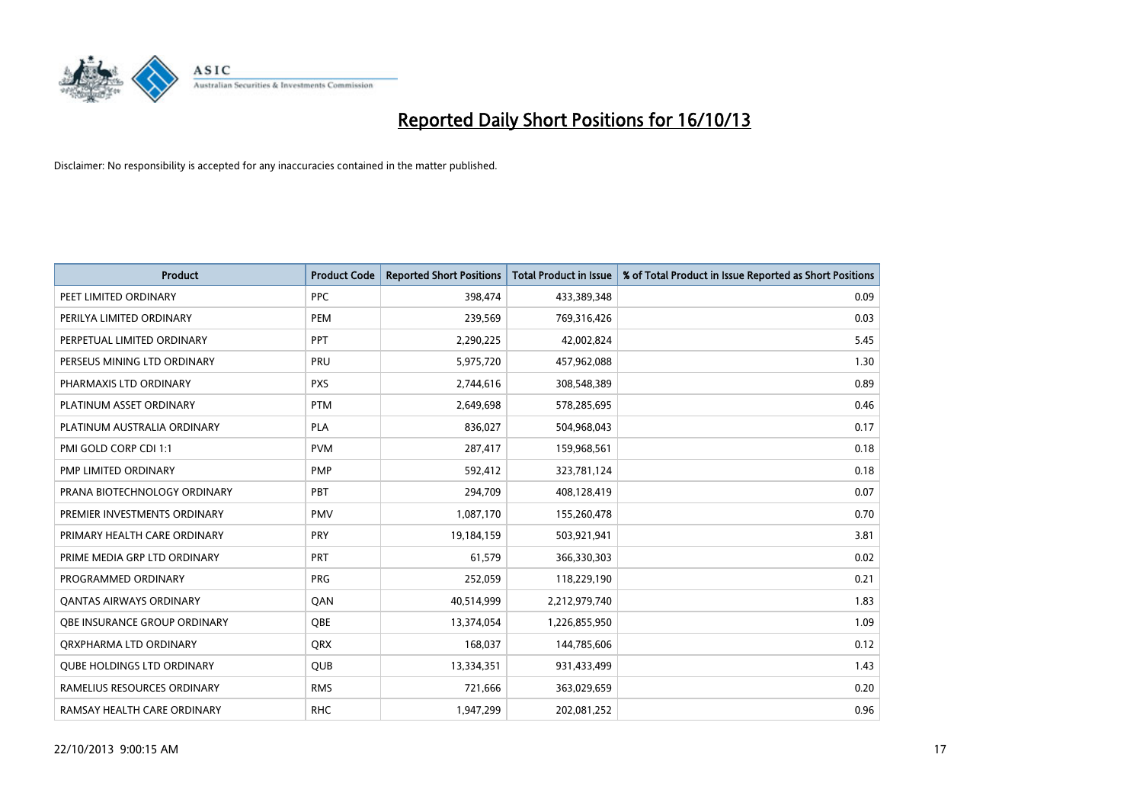

| <b>Product</b>                    | <b>Product Code</b> | <b>Reported Short Positions</b> | <b>Total Product in Issue</b> | % of Total Product in Issue Reported as Short Positions |
|-----------------------------------|---------------------|---------------------------------|-------------------------------|---------------------------------------------------------|
| PEET LIMITED ORDINARY             | <b>PPC</b>          | 398,474                         | 433,389,348                   | 0.09                                                    |
| PERILYA LIMITED ORDINARY          | <b>PEM</b>          | 239,569                         | 769,316,426                   | 0.03                                                    |
| PERPETUAL LIMITED ORDINARY        | PPT                 | 2,290,225                       | 42,002,824                    | 5.45                                                    |
| PERSEUS MINING LTD ORDINARY       | PRU                 | 5,975,720                       | 457,962,088                   | 1.30                                                    |
| PHARMAXIS LTD ORDINARY            | <b>PXS</b>          | 2,744,616                       | 308,548,389                   | 0.89                                                    |
| PLATINUM ASSET ORDINARY           | <b>PTM</b>          | 2,649,698                       | 578,285,695                   | 0.46                                                    |
| PLATINUM AUSTRALIA ORDINARY       | <b>PLA</b>          | 836,027                         | 504,968,043                   | 0.17                                                    |
| PMI GOLD CORP CDI 1:1             | <b>PVM</b>          | 287,417                         | 159,968,561                   | 0.18                                                    |
| PMP LIMITED ORDINARY              | <b>PMP</b>          | 592,412                         | 323,781,124                   | 0.18                                                    |
| PRANA BIOTECHNOLOGY ORDINARY      | PBT                 | 294,709                         | 408,128,419                   | 0.07                                                    |
| PREMIER INVESTMENTS ORDINARY      | <b>PMV</b>          | 1,087,170                       | 155,260,478                   | 0.70                                                    |
| PRIMARY HEALTH CARE ORDINARY      | <b>PRY</b>          | 19,184,159                      | 503,921,941                   | 3.81                                                    |
| PRIME MEDIA GRP LTD ORDINARY      | <b>PRT</b>          | 61,579                          | 366,330,303                   | 0.02                                                    |
| PROGRAMMED ORDINARY               | <b>PRG</b>          | 252,059                         | 118,229,190                   | 0.21                                                    |
| <b>QANTAS AIRWAYS ORDINARY</b>    | QAN                 | 40,514,999                      | 2,212,979,740                 | 1.83                                                    |
| OBE INSURANCE GROUP ORDINARY      | <b>OBE</b>          | 13,374,054                      | 1,226,855,950                 | 1.09                                                    |
| ORXPHARMA LTD ORDINARY            | <b>QRX</b>          | 168,037                         | 144,785,606                   | 0.12                                                    |
| <b>QUBE HOLDINGS LTD ORDINARY</b> | QUB                 | 13,334,351                      | 931,433,499                   | 1.43                                                    |
| RAMELIUS RESOURCES ORDINARY       | <b>RMS</b>          | 721,666                         | 363,029,659                   | 0.20                                                    |
| RAMSAY HEALTH CARE ORDINARY       | <b>RHC</b>          | 1,947,299                       | 202,081,252                   | 0.96                                                    |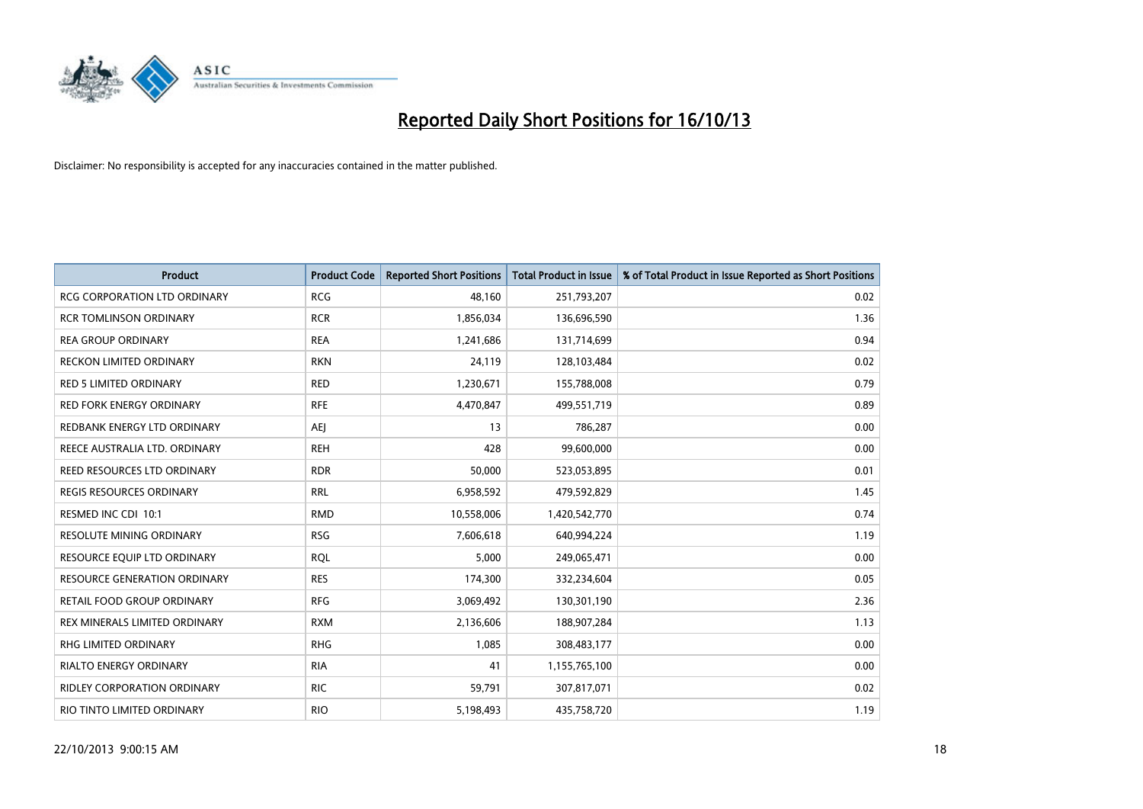

| Product                             | <b>Product Code</b> | <b>Reported Short Positions</b> | <b>Total Product in Issue</b> | % of Total Product in Issue Reported as Short Positions |
|-------------------------------------|---------------------|---------------------------------|-------------------------------|---------------------------------------------------------|
| <b>RCG CORPORATION LTD ORDINARY</b> | <b>RCG</b>          | 48,160                          | 251,793,207                   | 0.02                                                    |
| <b>RCR TOMLINSON ORDINARY</b>       | <b>RCR</b>          | 1,856,034                       | 136,696,590                   | 1.36                                                    |
| <b>REA GROUP ORDINARY</b>           | <b>REA</b>          | 1,241,686                       | 131,714,699                   | 0.94                                                    |
| <b>RECKON LIMITED ORDINARY</b>      | <b>RKN</b>          | 24,119                          | 128,103,484                   | 0.02                                                    |
| <b>RED 5 LIMITED ORDINARY</b>       | <b>RED</b>          | 1,230,671                       | 155,788,008                   | 0.79                                                    |
| <b>RED FORK ENERGY ORDINARY</b>     | <b>RFE</b>          | 4,470,847                       | 499,551,719                   | 0.89                                                    |
| REDBANK ENERGY LTD ORDINARY         | AEJ                 | 13                              | 786,287                       | 0.00                                                    |
| REECE AUSTRALIA LTD. ORDINARY       | <b>REH</b>          | 428                             | 99,600,000                    | 0.00                                                    |
| REED RESOURCES LTD ORDINARY         | <b>RDR</b>          | 50,000                          | 523,053,895                   | 0.01                                                    |
| <b>REGIS RESOURCES ORDINARY</b>     | <b>RRL</b>          | 6,958,592                       | 479,592,829                   | 1.45                                                    |
| RESMED INC CDI 10:1                 | <b>RMD</b>          | 10,558,006                      | 1,420,542,770                 | 0.74                                                    |
| <b>RESOLUTE MINING ORDINARY</b>     | <b>RSG</b>          | 7,606,618                       | 640,994,224                   | 1.19                                                    |
| RESOURCE EQUIP LTD ORDINARY         | <b>RQL</b>          | 5,000                           | 249,065,471                   | 0.00                                                    |
| <b>RESOURCE GENERATION ORDINARY</b> | <b>RES</b>          | 174,300                         | 332,234,604                   | 0.05                                                    |
| RETAIL FOOD GROUP ORDINARY          | <b>RFG</b>          | 3,069,492                       | 130,301,190                   | 2.36                                                    |
| REX MINERALS LIMITED ORDINARY       | <b>RXM</b>          | 2,136,606                       | 188,907,284                   | 1.13                                                    |
| RHG LIMITED ORDINARY                | <b>RHG</b>          | 1,085                           | 308,483,177                   | 0.00                                                    |
| <b>RIALTO ENERGY ORDINARY</b>       | <b>RIA</b>          | 41                              | 1,155,765,100                 | 0.00                                                    |
| <b>RIDLEY CORPORATION ORDINARY</b>  | <b>RIC</b>          | 59,791                          | 307,817,071                   | 0.02                                                    |
| RIO TINTO LIMITED ORDINARY          | <b>RIO</b>          | 5,198,493                       | 435,758,720                   | 1.19                                                    |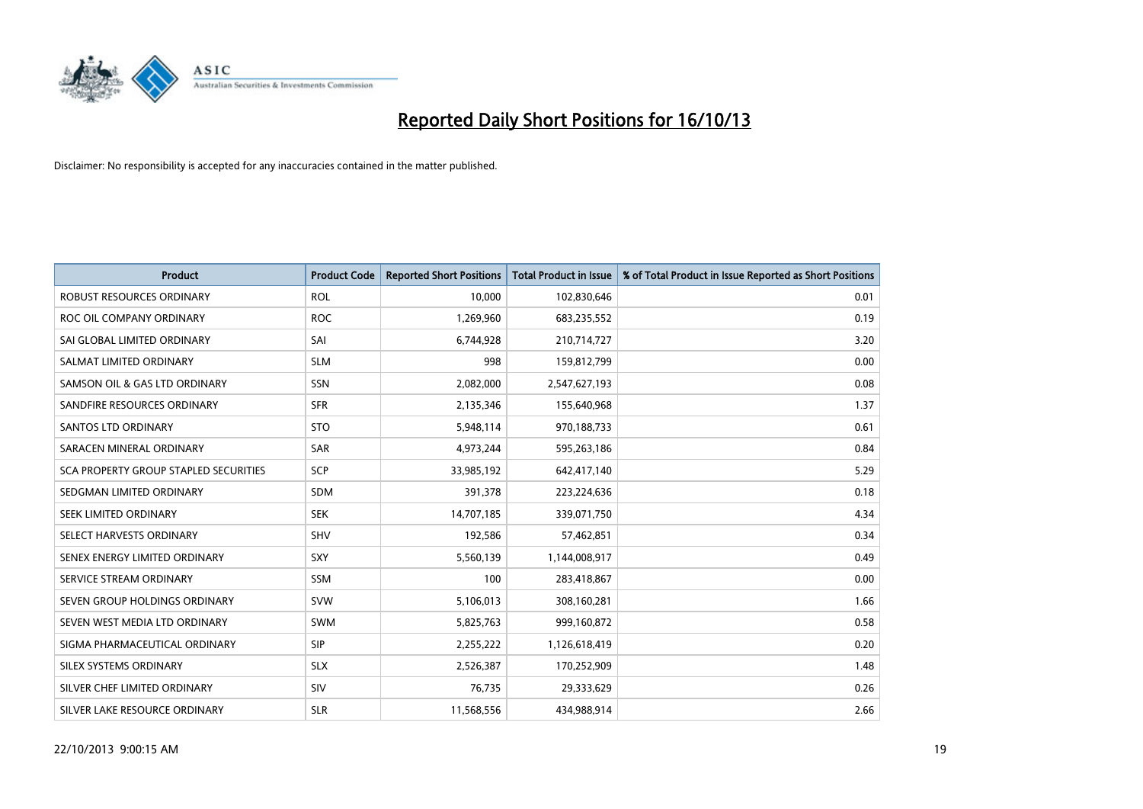

| <b>Product</b>                               | <b>Product Code</b> | <b>Reported Short Positions</b> | <b>Total Product in Issue</b> | % of Total Product in Issue Reported as Short Positions |
|----------------------------------------------|---------------------|---------------------------------|-------------------------------|---------------------------------------------------------|
| <b>ROBUST RESOURCES ORDINARY</b>             | <b>ROL</b>          | 10,000                          | 102,830,646                   | 0.01                                                    |
| ROC OIL COMPANY ORDINARY                     | <b>ROC</b>          | 1,269,960                       | 683,235,552                   | 0.19                                                    |
| SAI GLOBAL LIMITED ORDINARY                  | SAI                 | 6,744,928                       | 210,714,727                   | 3.20                                                    |
| SALMAT LIMITED ORDINARY                      | <b>SLM</b>          | 998                             | 159,812,799                   | 0.00                                                    |
| SAMSON OIL & GAS LTD ORDINARY                | SSN                 | 2,082,000                       | 2,547,627,193                 | 0.08                                                    |
| SANDFIRE RESOURCES ORDINARY                  | <b>SFR</b>          | 2,135,346                       | 155,640,968                   | 1.37                                                    |
| SANTOS LTD ORDINARY                          | <b>STO</b>          | 5,948,114                       | 970,188,733                   | 0.61                                                    |
| SARACEN MINERAL ORDINARY                     | <b>SAR</b>          | 4,973,244                       | 595,263,186                   | 0.84                                                    |
| <b>SCA PROPERTY GROUP STAPLED SECURITIES</b> | <b>SCP</b>          | 33,985,192                      | 642,417,140                   | 5.29                                                    |
| SEDGMAN LIMITED ORDINARY                     | <b>SDM</b>          | 391,378                         | 223,224,636                   | 0.18                                                    |
| SEEK LIMITED ORDINARY                        | <b>SEK</b>          | 14,707,185                      | 339,071,750                   | 4.34                                                    |
| SELECT HARVESTS ORDINARY                     | SHV                 | 192,586                         | 57,462,851                    | 0.34                                                    |
| SENEX ENERGY LIMITED ORDINARY                | <b>SXY</b>          | 5,560,139                       | 1,144,008,917                 | 0.49                                                    |
| SERVICE STREAM ORDINARY                      | SSM                 | 100                             | 283,418,867                   | 0.00                                                    |
| SEVEN GROUP HOLDINGS ORDINARY                | <b>SVW</b>          | 5,106,013                       | 308,160,281                   | 1.66                                                    |
| SEVEN WEST MEDIA LTD ORDINARY                | SWM                 | 5,825,763                       | 999,160,872                   | 0.58                                                    |
| SIGMA PHARMACEUTICAL ORDINARY                | <b>SIP</b>          | 2,255,222                       | 1,126,618,419                 | 0.20                                                    |
| SILEX SYSTEMS ORDINARY                       | <b>SLX</b>          | 2,526,387                       | 170,252,909                   | 1.48                                                    |
| SILVER CHEF LIMITED ORDINARY                 | SIV                 | 76,735                          | 29,333,629                    | 0.26                                                    |
| SILVER LAKE RESOURCE ORDINARY                | <b>SLR</b>          | 11,568,556                      | 434,988,914                   | 2.66                                                    |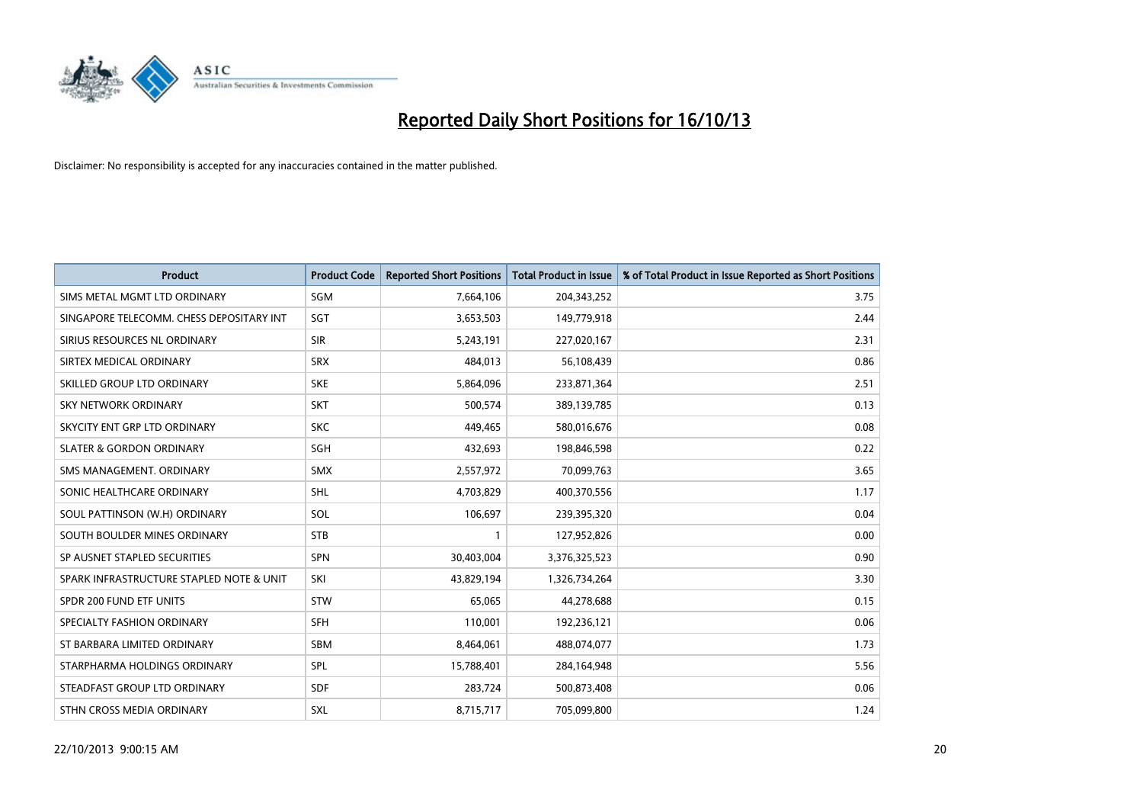

| <b>Product</b>                           | <b>Product Code</b> | <b>Reported Short Positions</b> | <b>Total Product in Issue</b> | % of Total Product in Issue Reported as Short Positions |
|------------------------------------------|---------------------|---------------------------------|-------------------------------|---------------------------------------------------------|
| SIMS METAL MGMT LTD ORDINARY             | SGM                 | 7,664,106                       | 204,343,252                   | 3.75                                                    |
| SINGAPORE TELECOMM. CHESS DEPOSITARY INT | <b>SGT</b>          | 3,653,503                       | 149,779,918                   | 2.44                                                    |
| SIRIUS RESOURCES NL ORDINARY             | <b>SIR</b>          | 5,243,191                       | 227,020,167                   | 2.31                                                    |
| SIRTEX MEDICAL ORDINARY                  | <b>SRX</b>          | 484,013                         | 56,108,439                    | 0.86                                                    |
| SKILLED GROUP LTD ORDINARY               | <b>SKE</b>          | 5,864,096                       | 233,871,364                   | 2.51                                                    |
| <b>SKY NETWORK ORDINARY</b>              | <b>SKT</b>          | 500,574                         | 389,139,785                   | 0.13                                                    |
| SKYCITY ENT GRP LTD ORDINARY             | <b>SKC</b>          | 449,465                         | 580,016,676                   | 0.08                                                    |
| <b>SLATER &amp; GORDON ORDINARY</b>      | SGH                 | 432,693                         | 198,846,598                   | 0.22                                                    |
| SMS MANAGEMENT, ORDINARY                 | <b>SMX</b>          | 2,557,972                       | 70,099,763                    | 3.65                                                    |
| SONIC HEALTHCARE ORDINARY                | <b>SHL</b>          | 4,703,829                       | 400,370,556                   | 1.17                                                    |
| SOUL PATTINSON (W.H) ORDINARY            | SOL                 | 106,697                         | 239,395,320                   | 0.04                                                    |
| SOUTH BOULDER MINES ORDINARY             | <b>STB</b>          | $\mathbf{1}$                    | 127,952,826                   | 0.00                                                    |
| SP AUSNET STAPLED SECURITIES             | <b>SPN</b>          | 30,403,004                      | 3,376,325,523                 | 0.90                                                    |
| SPARK INFRASTRUCTURE STAPLED NOTE & UNIT | SKI                 | 43,829,194                      | 1,326,734,264                 | 3.30                                                    |
| SPDR 200 FUND ETF UNITS                  | <b>STW</b>          | 65,065                          | 44,278,688                    | 0.15                                                    |
| SPECIALTY FASHION ORDINARY               | <b>SFH</b>          | 110,001                         | 192,236,121                   | 0.06                                                    |
| ST BARBARA LIMITED ORDINARY              | SBM                 | 8,464,061                       | 488,074,077                   | 1.73                                                    |
| STARPHARMA HOLDINGS ORDINARY             | <b>SPL</b>          | 15,788,401                      | 284,164,948                   | 5.56                                                    |
| STEADFAST GROUP LTD ORDINARY             | <b>SDF</b>          | 283,724                         | 500,873,408                   | 0.06                                                    |
| STHN CROSS MEDIA ORDINARY                | SXL                 | 8,715,717                       | 705,099,800                   | 1.24                                                    |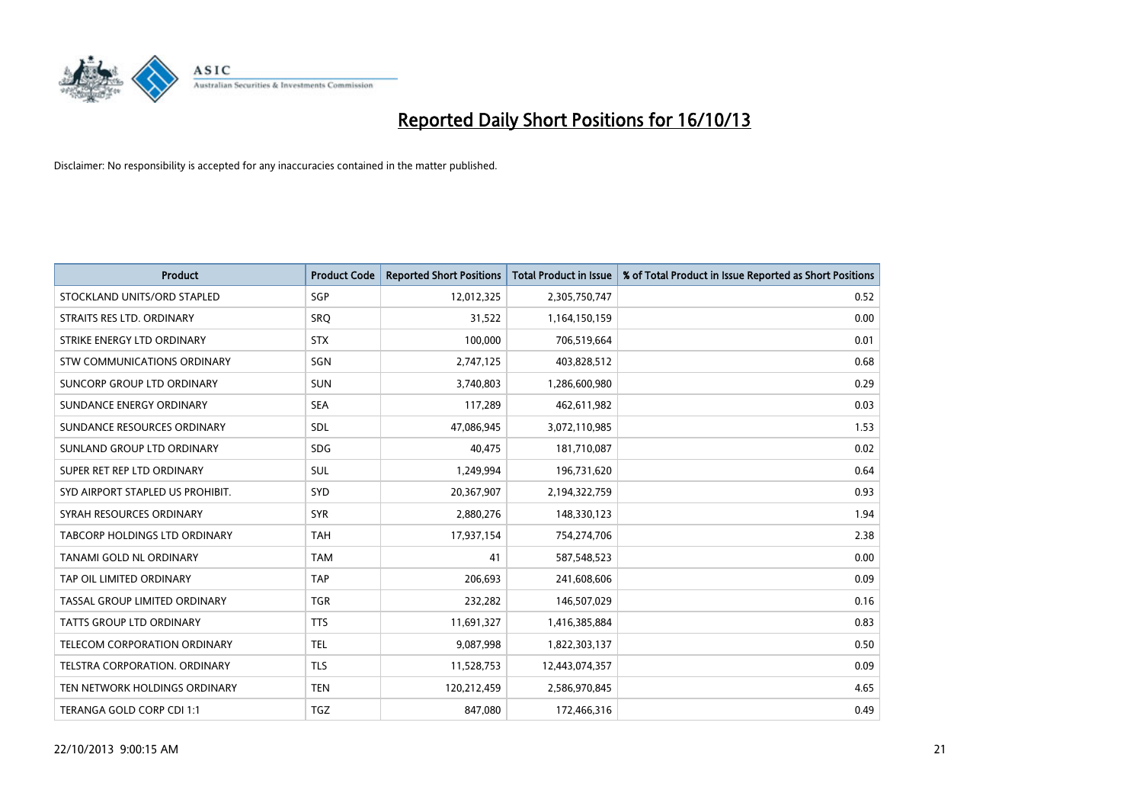

| <b>Product</b>                       | <b>Product Code</b> | <b>Reported Short Positions</b> | <b>Total Product in Issue</b> | % of Total Product in Issue Reported as Short Positions |
|--------------------------------------|---------------------|---------------------------------|-------------------------------|---------------------------------------------------------|
| STOCKLAND UNITS/ORD STAPLED          | SGP                 | 12,012,325                      | 2,305,750,747                 | 0.52                                                    |
| STRAITS RES LTD. ORDINARY            | <b>SRO</b>          | 31,522                          | 1,164,150,159                 | 0.00                                                    |
| STRIKE ENERGY LTD ORDINARY           | <b>STX</b>          | 100,000                         | 706,519,664                   | 0.01                                                    |
| STW COMMUNICATIONS ORDINARY          | SGN                 | 2,747,125                       | 403,828,512                   | 0.68                                                    |
| <b>SUNCORP GROUP LTD ORDINARY</b>    | <b>SUN</b>          | 3,740,803                       | 1,286,600,980                 | 0.29                                                    |
| SUNDANCE ENERGY ORDINARY             | <b>SEA</b>          | 117,289                         | 462,611,982                   | 0.03                                                    |
| SUNDANCE RESOURCES ORDINARY          | SDL                 | 47,086,945                      | 3,072,110,985                 | 1.53                                                    |
| SUNLAND GROUP LTD ORDINARY           | <b>SDG</b>          | 40,475                          | 181,710,087                   | 0.02                                                    |
| SUPER RET REP LTD ORDINARY           | SUL                 | 1,249,994                       | 196,731,620                   | 0.64                                                    |
| SYD AIRPORT STAPLED US PROHIBIT.     | SYD                 | 20,367,907                      | 2,194,322,759                 | 0.93                                                    |
| SYRAH RESOURCES ORDINARY             | <b>SYR</b>          | 2,880,276                       | 148,330,123                   | 1.94                                                    |
| <b>TABCORP HOLDINGS LTD ORDINARY</b> | <b>TAH</b>          | 17,937,154                      | 754,274,706                   | 2.38                                                    |
| TANAMI GOLD NL ORDINARY              | <b>TAM</b>          | 41                              | 587,548,523                   | 0.00                                                    |
| TAP OIL LIMITED ORDINARY             | <b>TAP</b>          | 206,693                         | 241,608,606                   | 0.09                                                    |
| TASSAL GROUP LIMITED ORDINARY        | <b>TGR</b>          | 232,282                         | 146,507,029                   | 0.16                                                    |
| <b>TATTS GROUP LTD ORDINARY</b>      | <b>TTS</b>          | 11,691,327                      | 1,416,385,884                 | 0.83                                                    |
| <b>TELECOM CORPORATION ORDINARY</b>  | <b>TEL</b>          | 9,087,998                       | 1,822,303,137                 | 0.50                                                    |
| TELSTRA CORPORATION. ORDINARY        | <b>TLS</b>          | 11,528,753                      | 12,443,074,357                | 0.09                                                    |
| TEN NETWORK HOLDINGS ORDINARY        | <b>TEN</b>          | 120,212,459                     | 2,586,970,845                 | 4.65                                                    |
| TERANGA GOLD CORP CDI 1:1            | <b>TGZ</b>          | 847,080                         | 172,466,316                   | 0.49                                                    |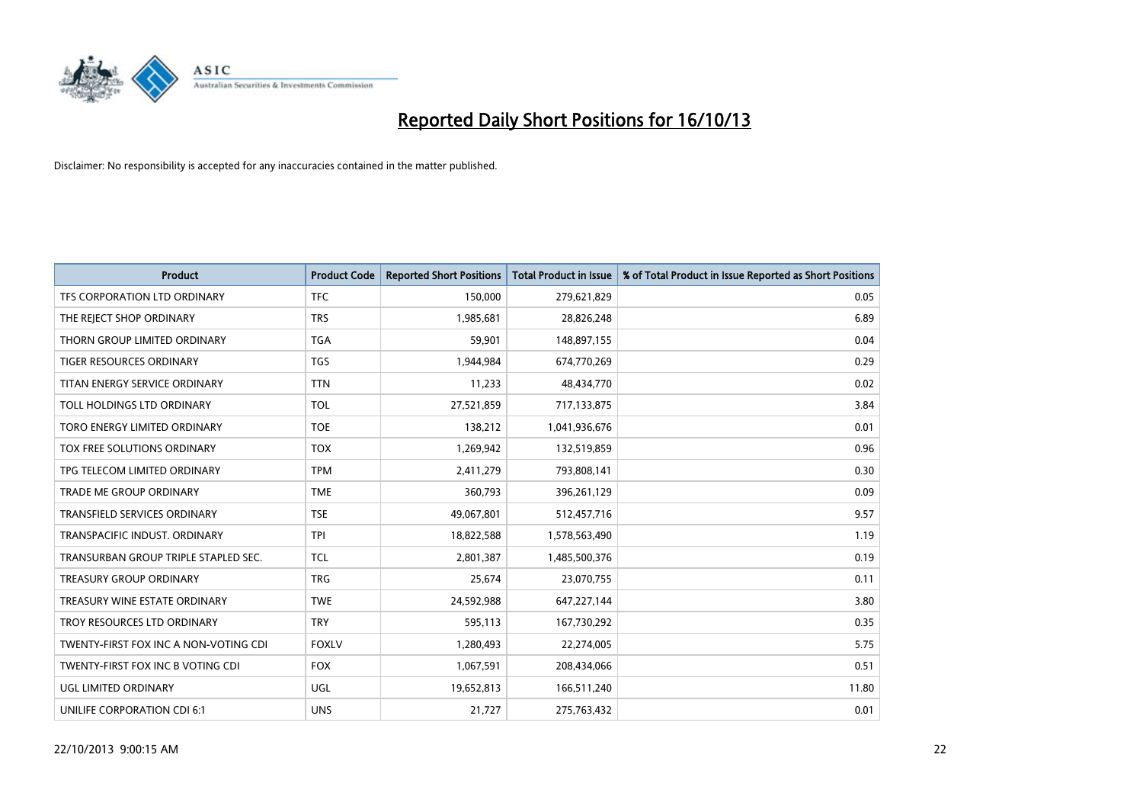

| <b>Product</b>                        | <b>Product Code</b> | <b>Reported Short Positions</b> | <b>Total Product in Issue</b> | % of Total Product in Issue Reported as Short Positions |
|---------------------------------------|---------------------|---------------------------------|-------------------------------|---------------------------------------------------------|
| TFS CORPORATION LTD ORDINARY          | <b>TFC</b>          | 150,000                         | 279,621,829                   | 0.05                                                    |
| THE REJECT SHOP ORDINARY              | <b>TRS</b>          | 1,985,681                       | 28,826,248                    | 6.89                                                    |
| THORN GROUP LIMITED ORDINARY          | <b>TGA</b>          | 59,901                          | 148,897,155                   | 0.04                                                    |
| <b>TIGER RESOURCES ORDINARY</b>       | <b>TGS</b>          | 1,944,984                       | 674,770,269                   | 0.29                                                    |
| TITAN ENERGY SERVICE ORDINARY         | <b>TTN</b>          | 11,233                          | 48,434,770                    | 0.02                                                    |
| TOLL HOLDINGS LTD ORDINARY            | <b>TOL</b>          | 27,521,859                      | 717,133,875                   | 3.84                                                    |
| TORO ENERGY LIMITED ORDINARY          | <b>TOE</b>          | 138,212                         | 1,041,936,676                 | 0.01                                                    |
| TOX FREE SOLUTIONS ORDINARY           | <b>TOX</b>          | 1,269,942                       | 132,519,859                   | 0.96                                                    |
| TPG TELECOM LIMITED ORDINARY          | <b>TPM</b>          | 2,411,279                       | 793,808,141                   | 0.30                                                    |
| <b>TRADE ME GROUP ORDINARY</b>        | <b>TME</b>          | 360,793                         | 396,261,129                   | 0.09                                                    |
| TRANSFIELD SERVICES ORDINARY          | <b>TSE</b>          | 49,067,801                      | 512,457,716                   | 9.57                                                    |
| TRANSPACIFIC INDUST. ORDINARY         | <b>TPI</b>          | 18,822,588                      | 1,578,563,490                 | 1.19                                                    |
| TRANSURBAN GROUP TRIPLE STAPLED SEC.  | <b>TCL</b>          | 2,801,387                       | 1,485,500,376                 | 0.19                                                    |
| <b>TREASURY GROUP ORDINARY</b>        | <b>TRG</b>          | 25,674                          | 23,070,755                    | 0.11                                                    |
| TREASURY WINE ESTATE ORDINARY         | <b>TWE</b>          | 24,592,988                      | 647,227,144                   | 3.80                                                    |
| TROY RESOURCES LTD ORDINARY           | <b>TRY</b>          | 595,113                         | 167,730,292                   | 0.35                                                    |
| TWENTY-FIRST FOX INC A NON-VOTING CDI | <b>FOXLV</b>        | 1,280,493                       | 22,274,005                    | 5.75                                                    |
| TWENTY-FIRST FOX INC B VOTING CDI     | <b>FOX</b>          | 1,067,591                       | 208,434,066                   | 0.51                                                    |
| UGL LIMITED ORDINARY                  | UGL                 | 19,652,813                      | 166,511,240                   | 11.80                                                   |
| UNILIFE CORPORATION CDI 6:1           | <b>UNS</b>          | 21,727                          | 275,763,432                   | 0.01                                                    |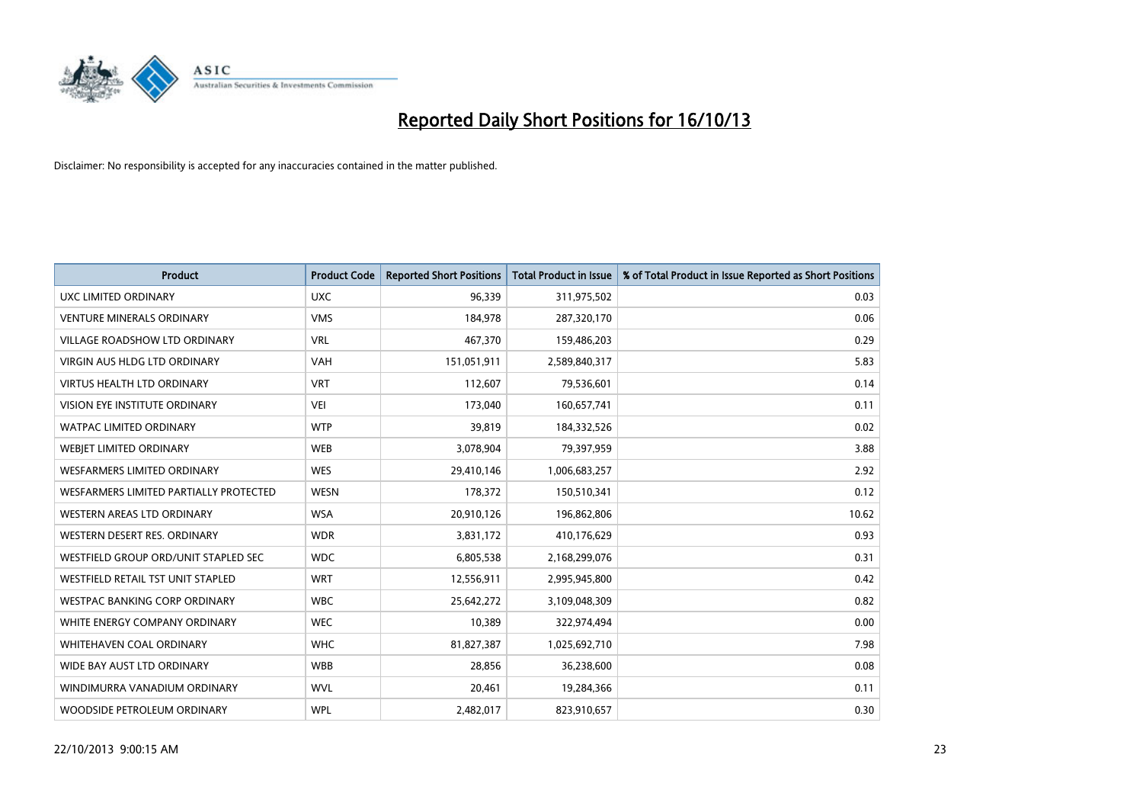

| <b>Product</b>                         | <b>Product Code</b> | <b>Reported Short Positions</b> | <b>Total Product in Issue</b> | % of Total Product in Issue Reported as Short Positions |
|----------------------------------------|---------------------|---------------------------------|-------------------------------|---------------------------------------------------------|
| <b>UXC LIMITED ORDINARY</b>            | <b>UXC</b>          | 96,339                          | 311,975,502                   | 0.03                                                    |
| <b>VENTURE MINERALS ORDINARY</b>       | <b>VMS</b>          | 184,978                         | 287,320,170                   | 0.06                                                    |
| <b>VILLAGE ROADSHOW LTD ORDINARY</b>   | <b>VRL</b>          | 467,370                         | 159,486,203                   | 0.29                                                    |
| VIRGIN AUS HLDG LTD ORDINARY           | <b>VAH</b>          | 151,051,911                     | 2,589,840,317                 | 5.83                                                    |
| <b>VIRTUS HEALTH LTD ORDINARY</b>      | <b>VRT</b>          | 112,607                         | 79,536,601                    | 0.14                                                    |
| <b>VISION EYE INSTITUTE ORDINARY</b>   | <b>VEI</b>          | 173,040                         | 160,657,741                   | 0.11                                                    |
| WATPAC LIMITED ORDINARY                | <b>WTP</b>          | 39,819                          | 184,332,526                   | 0.02                                                    |
| WEBJET LIMITED ORDINARY                | <b>WEB</b>          | 3,078,904                       | 79,397,959                    | 3.88                                                    |
| <b>WESFARMERS LIMITED ORDINARY</b>     | <b>WES</b>          | 29,410,146                      | 1,006,683,257                 | 2.92                                                    |
| WESFARMERS LIMITED PARTIALLY PROTECTED | <b>WESN</b>         | 178,372                         | 150,510,341                   | 0.12                                                    |
| WESTERN AREAS LTD ORDINARY             | <b>WSA</b>          | 20,910,126                      | 196,862,806                   | 10.62                                                   |
| WESTERN DESERT RES. ORDINARY           | <b>WDR</b>          | 3,831,172                       | 410,176,629                   | 0.93                                                    |
| WESTFIELD GROUP ORD/UNIT STAPLED SEC   | <b>WDC</b>          | 6,805,538                       | 2,168,299,076                 | 0.31                                                    |
| WESTFIELD RETAIL TST UNIT STAPLED      | <b>WRT</b>          | 12,556,911                      | 2,995,945,800                 | 0.42                                                    |
| <b>WESTPAC BANKING CORP ORDINARY</b>   | <b>WBC</b>          | 25,642,272                      | 3,109,048,309                 | 0.82                                                    |
| WHITE ENERGY COMPANY ORDINARY          | <b>WEC</b>          | 10,389                          | 322,974,494                   | 0.00                                                    |
| <b>WHITEHAVEN COAL ORDINARY</b>        | <b>WHC</b>          | 81,827,387                      | 1,025,692,710                 | 7.98                                                    |
| WIDE BAY AUST LTD ORDINARY             | <b>WBB</b>          | 28,856                          | 36,238,600                    | 0.08                                                    |
| WINDIMURRA VANADIUM ORDINARY           | <b>WVL</b>          | 20,461                          | 19,284,366                    | 0.11                                                    |
| WOODSIDE PETROLEUM ORDINARY            | <b>WPL</b>          | 2,482,017                       | 823,910,657                   | 0.30                                                    |